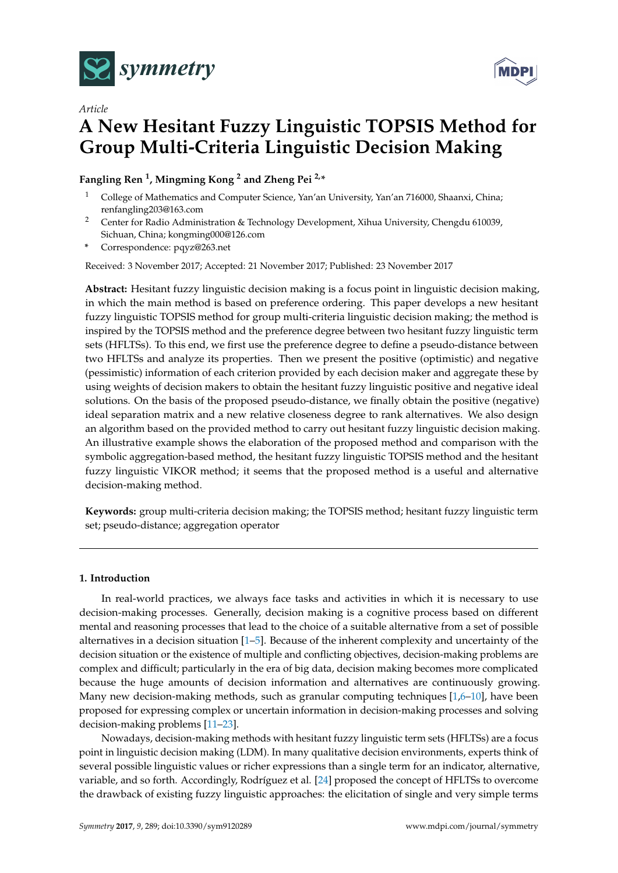



# *Article* **A New Hesitant Fuzzy Linguistic TOPSIS Method for Group Multi-Criteria Linguistic Decision Making**

## **Fangling Ren <sup>1</sup> , Mingming Kong <sup>2</sup> and Zheng Pei 2,\***

- <sup>1</sup> College of Mathematics and Computer Science, Yan'an University, Yan'an 716000, Shaanxi, China; renfangling203@163.com
- <sup>2</sup> Center for Radio Administration & Technology Development, Xihua University, Chengdu 610039, Sichuan, China; kongming000@126.com
- **\*** Correspondence: pqyz@263.net

Received: 3 November 2017; Accepted: 21 November 2017; Published: 23 November 2017

**Abstract:** Hesitant fuzzy linguistic decision making is a focus point in linguistic decision making, in which the main method is based on preference ordering. This paper develops a new hesitant fuzzy linguistic TOPSIS method for group multi-criteria linguistic decision making; the method is inspired by the TOPSIS method and the preference degree between two hesitant fuzzy linguistic term sets (HFLTSs). To this end, we first use the preference degree to define a pseudo-distance between two HFLTSs and analyze its properties. Then we present the positive (optimistic) and negative (pessimistic) information of each criterion provided by each decision maker and aggregate these by using weights of decision makers to obtain the hesitant fuzzy linguistic positive and negative ideal solutions. On the basis of the proposed pseudo-distance, we finally obtain the positive (negative) ideal separation matrix and a new relative closeness degree to rank alternatives. We also design an algorithm based on the provided method to carry out hesitant fuzzy linguistic decision making. An illustrative example shows the elaboration of the proposed method and comparison with the symbolic aggregation-based method, the hesitant fuzzy linguistic TOPSIS method and the hesitant fuzzy linguistic VIKOR method; it seems that the proposed method is a useful and alternative decision-making method.

**Keywords:** group multi-criteria decision making; the TOPSIS method; hesitant fuzzy linguistic term set; pseudo-distance; aggregation operator

### **1. Introduction**

In real-world practices, we always face tasks and activities in which it is necessary to use decision-making processes. Generally, decision making is a cognitive process based on different mental and reasoning processes that lead to the choice of a suitable alternative from a set of possible alternatives in a decision situation  $[1-5]$  $[1-5]$ . Because of the inherent complexity and uncertainty of the decision situation or the existence of multiple and conflicting objectives, decision-making problems are complex and difficult; particularly in the era of big data, decision making becomes more complicated because the huge amounts of decision information and alternatives are continuously growing. Many new decision-making methods, such as granular computing techniques  $[1,6-10]$  $[1,6-10]$  $[1,6-10]$ , have been proposed for expressing complex or uncertain information in decision-making processes and solving decision-making problems [\[11–](#page-16-1)[23\]](#page-16-2).

Nowadays, decision-making methods with hesitant fuzzy linguistic term sets (HFLTSs) are a focus point in linguistic decision making (LDM). In many qualitative decision environments, experts think of several possible linguistic values or richer expressions than a single term for an indicator, alternative, variable, and so forth. Accordingly, Rodríguez et al. [\[24\]](#page-16-3) proposed the concept of HFLTSs to overcome the drawback of existing fuzzy linguistic approaches: the elicitation of single and very simple terms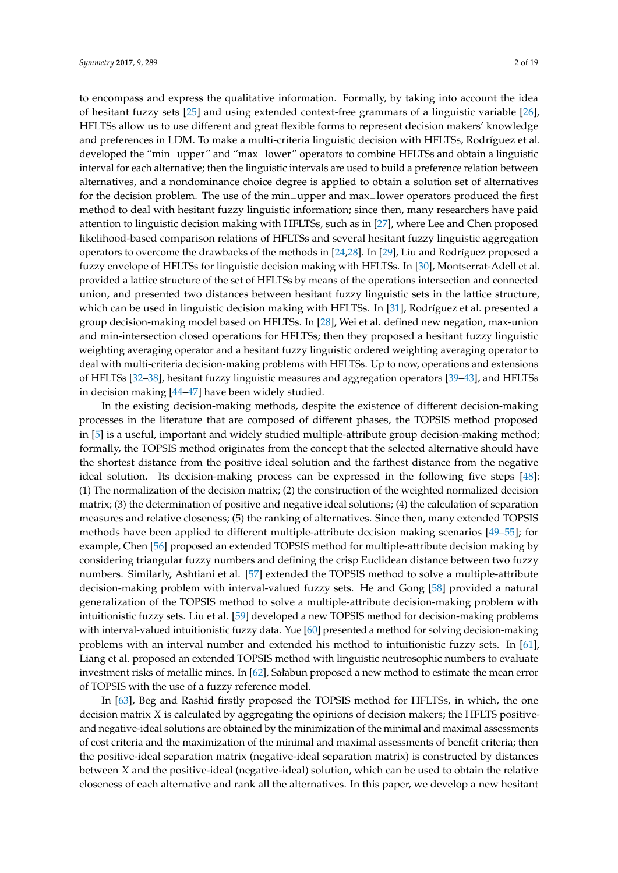to encompass and express the qualitative information. Formally, by taking into account the idea of hesitant fuzzy sets [\[25\]](#page-16-4) and using extended context-free grammars of a linguistic variable [\[26\]](#page-16-5), HFLTSs allow us to use different and great flexible forms to represent decision makers' knowledge and preferences in LDM. To make a multi-criteria linguistic decision with HFLTSs, Rodríguez et al. developed the "min−upper" and "max−lower" operators to combine HFLTSs and obtain a linguistic interval for each alternative; then the linguistic intervals are used to build a preference relation between alternatives, and a nondominance choice degree is applied to obtain a solution set of alternatives for the decision problem. The use of the min−upper and max−lower operators produced the first method to deal with hesitant fuzzy linguistic information; since then, many researchers have paid attention to linguistic decision making with HFLTSs, such as in [\[27\]](#page-16-6), where Lee and Chen proposed likelihood-based comparison relations of HFLTSs and several hesitant fuzzy linguistic aggregation operators to overcome the drawbacks of the methods in [\[24,](#page-16-3)[28\]](#page-16-7). In [\[29\]](#page-16-8), Liu and Rodríguez proposed a fuzzy envelope of HFLTSs for linguistic decision making with HFLTSs. In [\[30\]](#page-16-9), Montserrat-Adell et al. provided a lattice structure of the set of HFLTSs by means of the operations intersection and connected union, and presented two distances between hesitant fuzzy linguistic sets in the lattice structure, which can be used in linguistic decision making with HFLTSs. In [\[31\]](#page-16-10), Rodríguez et al. presented a group decision-making model based on HFLTSs. In [\[28\]](#page-16-7), Wei et al. defined new negation, max-union and min-intersection closed operations for HFLTSs; then they proposed a hesitant fuzzy linguistic weighting averaging operator and a hesitant fuzzy linguistic ordered weighting averaging operator to deal with multi-criteria decision-making problems with HFLTSs. Up to now, operations and extensions of HFLTSs [\[32–](#page-16-11)[38\]](#page-17-0), hesitant fuzzy linguistic measures and aggregation operators [\[39](#page-17-1)[–43\]](#page-17-2), and HFLTSs in decision making [\[44](#page-17-3)[–47\]](#page-17-4) have been widely studied.

In the existing decision-making methods, despite the existence of different decision-making processes in the literature that are composed of different phases, the TOPSIS method proposed in [\[5\]](#page-15-1) is a useful, important and widely studied multiple-attribute group decision-making method; formally, the TOPSIS method originates from the concept that the selected alternative should have the shortest distance from the positive ideal solution and the farthest distance from the negative ideal solution. Its decision-making process can be expressed in the following five steps [\[48\]](#page-17-5): (1) The normalization of the decision matrix; (2) the construction of the weighted normalized decision matrix; (3) the determination of positive and negative ideal solutions; (4) the calculation of separation measures and relative closeness; (5) the ranking of alternatives. Since then, many extended TOPSIS methods have been applied to different multiple-attribute decision making scenarios [\[49](#page-17-6)[–55\]](#page-17-7); for example, Chen [\[56\]](#page-17-8) proposed an extended TOPSIS method for multiple-attribute decision making by considering triangular fuzzy numbers and defining the crisp Euclidean distance between two fuzzy numbers. Similarly, Ashtiani et al. [\[57\]](#page-17-9) extended the TOPSIS method to solve a multiple-attribute decision-making problem with interval-valued fuzzy sets. He and Gong [\[58\]](#page-17-10) provided a natural generalization of the TOPSIS method to solve a multiple-attribute decision-making problem with intuitionistic fuzzy sets. Liu et al. [\[59\]](#page-17-11) developed a new TOPSIS method for decision-making problems with interval-valued intuitionistic fuzzy data. Yue [\[60\]](#page-17-12) presented a method for solving decision-making problems with an interval number and extended his method to intuitionistic fuzzy sets. In [\[61\]](#page-18-0), Liang et al. proposed an extended TOPSIS method with linguistic neutrosophic numbers to evaluate investment risks of metallic mines. In [\[62\]](#page-18-1), Sałabun proposed a new method to estimate the mean error of TOPSIS with the use of a fuzzy reference model.

In [\[63\]](#page-18-2), Beg and Rashid firstly proposed the TOPSIS method for HFLTSs, in which, the one decision matrix *X* is calculated by aggregating the opinions of decision makers; the HFLTS positiveand negative-ideal solutions are obtained by the minimization of the minimal and maximal assessments of cost criteria and the maximization of the minimal and maximal assessments of benefit criteria; then the positive-ideal separation matrix (negative-ideal separation matrix) is constructed by distances between *X* and the positive-ideal (negative-ideal) solution, which can be used to obtain the relative closeness of each alternative and rank all the alternatives. In this paper, we develop a new hesitant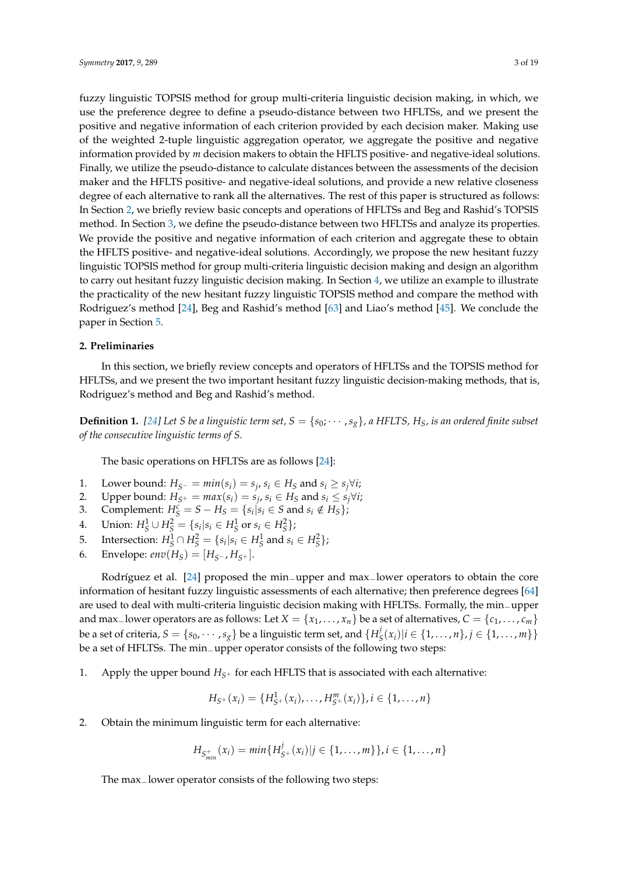fuzzy linguistic TOPSIS method for group multi-criteria linguistic decision making, in which, we use the preference degree to define a pseudo-distance between two HFLTSs, and we present the positive and negative information of each criterion provided by each decision maker. Making use of the weighted 2-tuple linguistic aggregation operator, we aggregate the positive and negative information provided by *m* decision makers to obtain the HFLTS positive- and negative-ideal solutions. Finally, we utilize the pseudo-distance to calculate distances between the assessments of the decision maker and the HFLTS positive- and negative-ideal solutions, and provide a new relative closeness degree of each alternative to rank all the alternatives. The rest of this paper is structured as follows: In Section [2,](#page-2-0) we briefly review basic concepts and operations of HFLTSs and Beg and Rashid's TOPSIS method. In Section [3,](#page-4-0) we define the pseudo-distance between two HFLTSs and analyze its properties. We provide the positive and negative information of each criterion and aggregate these to obtain the HFLTS positive- and negative-ideal solutions. Accordingly, we propose the new hesitant fuzzy linguistic TOPSIS method for group multi-criteria linguistic decision making and design an algorithm to carry out hesitant fuzzy linguistic decision making. In Section [4,](#page-9-0) we utilize an example to illustrate the practicality of the new hesitant fuzzy linguistic TOPSIS method and compare the method with Rodriguez's method [\[24\]](#page-16-3), Beg and Rashid's method [\[63\]](#page-18-2) and Liao's method [\[45\]](#page-17-13). We conclude the paper in Section [5.](#page-15-3)

#### <span id="page-2-0"></span>**2. Preliminaries**

In this section, we briefly review concepts and operators of HFLTSs and the TOPSIS method for HFLTSs, and we present the two important hesitant fuzzy linguistic decision-making methods, that is, Rodriguez's method and Beg and Rashid's method.

**Definition 1.** [\[24\]](#page-16-3) Let *S* be a linguistic term set,  $S = \{s_0; \dots, s_g\}$ , a HFLTS,  $H_S$ , is an ordered finite subset *of the consecutive linguistic terms of S.*

The basic operations on HFLTSs are as follows [\[24\]](#page-16-3):

- 1. Lower bound:  $H_{S}$ <sup> $-$ </sup> =  $min(s_i)$  =  $s_j$ ,  $s_i$   $\in$   $H_S$  and  $s_i$   $\geq$   $s_j \forall i$ ;
- 2. Upper bound:  $H_{S^+} = max(s_i) = s_j$ ,  $s_i \in H_S$  and  $s_i \leq s_j \forall i$ ;
- 3. Complement:  $H_S^c = S H_S = \{s_i | s_i \in S \text{ and } s_i \notin H_S\}$ ;
- 4. Union:  $H_S^1 \cup H_S^2 = \{s_i | s_i \in H_S^1 \text{ or } s_i \in H_S^2\};$
- 5. Intersection:  $H_S^1 \cap H_S^2 = \{ s_i | s_i \in H_S^1 \text{ and } s_i \in H_S^2 \}$ ;
- 6. Envelope: *env*( $H_S$ ) = [ $H_{S^-}$ ,  $H_{S^+}$ ].

Rodríguez et al. [\[24\]](#page-16-3) proposed the min−upper and max−lower operators to obtain the core information of hesitant fuzzy linguistic assessments of each alternative; then preference degrees [\[64\]](#page-18-3) are used to deal with multi-criteria linguistic decision making with HFLTSs. Formally, the min−upper and max<sup>−</sup>lower operators are as follows: Let *X* = {*x*<sub>1</sub>, . . . , *x*<sub>*n*</sub>} be a set of alternatives, *C* = {*c*<sub>1</sub>, . . . , *c*<sub>*m*</sub>} be a set of criteria,  $S = \{s_0, \cdots, s_g\}$  be a linguistic term set, and  $\{H^j_S\}$  $S(S(x_i)|i \in \{1, \ldots, n\}, j \in \{1, \ldots, m\}\}\$ be a set of HFLTSs. The min−upper operator consists of the following two steps:

1. Apply the upper bound  $H_{S^+}$  for each HFLTS that is associated with each alternative:

$$
H_{S^+}(x_i) = \{H_{S^+}^1(x_i), \ldots, H_{S^+}^m(x_i)\}, i \in \{1, \ldots, n\}
$$

2. Obtain the minimum linguistic term for each alternative:

$$
H_{S_{min}^+}(x_i) = min\{H_{S^+}^j(x_i)|j \in \{1,\ldots,m\}\}, i \in \{1,\ldots,n\}
$$

The max<sub>−</sub>lower operator consists of the following two steps: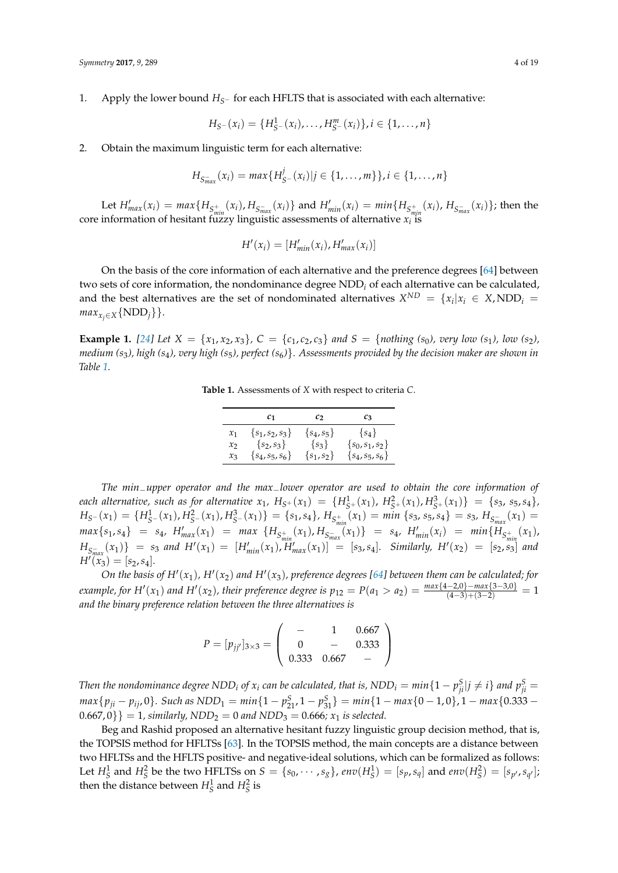1. Apply the lower bound *HS*<sup>−</sup> for each HFLTS that is associated with each alternative:

$$
H_{S}-(x_i)=\{H_{S}^1-(x_i),\ldots,H_{S}^m(x_i)\}, i\in\{1,\ldots,n\}
$$

2. Obtain the maximum linguistic term for each alternative:

$$
H_{S_{max}^{-}}(x_i) = max\{H_{S}^{j}-(x_i)|j \in \{1,\ldots,m\}\}, i \in \{1,\ldots,n\}
$$

Let  $H'_{max}(x_i) = max\{H_{S_{min}^+}(x_i), H_{S_{max}^-}(x_i)\}$  and  $H'_{min}(x_i) = min\{H_{S_{min}^+}(x_i), H_{S_{max}^-}(x_i)\}$ ; then the core information of hesitant fuzzy linguistic assessments of alternative  $x_i$  is

$$
H'(x_i) = [H'_{min}(x_i), H'_{max}(x_i)]
$$

On the basis of the core information of each alternative and the preference degrees [\[64\]](#page-18-3) between two sets of core information, the nondominance degree NDD*<sup>i</sup>* of each alternative can be calculated, and the best alternatives are the set of nondominated alternatives  $X^{ND} = \{x_i | x_i \in X, \text{NDD}_i = \emptyset\}$  $max_{x_j \in X} \{ NDD_j \}$ .

<span id="page-3-0"></span>**Example 1.** [\[24\]](#page-16-3) Let  $X = \{x_1, x_2, x_3\}$ ,  $C = \{c_1, c_2, c_3\}$  and  $S = \{nothing\}$  for  $(s_0)$ , very low  $(s_1)$ , low  $(s_2)$ , *medium (s*3*), high (s*4*), very high (s*5*), perfect (s*6*)*}*. Assessments provided by the decision maker are shown in Table [1.](#page-3-0)*

**Table 1.** Assessments of *X* with respect to criteria *C*.

|                                      | $\mathcal{C}$ 1                       | $\mathcal{C}$               | $c_3$                            |
|--------------------------------------|---------------------------------------|-----------------------------|----------------------------------|
| $\mathcal{X}_1$<br>$\mathcal{X}_{2}$ | $\{s_1, s_2, s_3\}$<br>$\{s_2, s_3\}$ | $\{s_4, s_5\}$<br>$\{s_3\}$ | $\{s_4\}$<br>$\{s_0, s_1, s_2\}$ |
| $x_3$                                | $\{s_4, s_5, s_6\}$                   | $\{s_1, s_2\}$              | $\{s_4, s_5, s_6\}$              |

*The min*−*upper operator and the max*−*lower operator are used to obtain the core information of* each alternative, such as for alternative  $x_1$ ,  $H_{S^+}(x_1) = \{H_{S^+}^1(x_1), H_{S^+}^2(x_1), H_{S^+}^3(x_1)\} = \{s_3, s_5, s_4\}$ ,  $H_{S^-}(x_1) = \{H_{S^-}^1(x_1), H_{S^-}^2(x_1), H_{S^-}^3(x_1)\} = \{s_1, s_4\}, H_{S_{min}^+}(x_1) = min \{s_3, s_5, s_4\} = s_3, H_{S_{max}^-}(x_1) =$  $max{s_1,s_4} = s_4$ ,  $H'_{max}(x_1) = max \{H_{S_{min}^+}(x_1), H_{S_{max}^-}(x_1)\} = s_4$ ,  $H'_{min}(x_i) = min\{H_{S_{min}^+}(x_1),$  $H_{S_{max}^{-}}(x_1)$ } =  $s_3$  and  $H'(x_1) = [H'_{min}(x_1), H'_{max}(x_1)] = [s_3, s_4]$ . Similarly,  $H'(x_2) = [s_2, s_3]$  and  $H''(\tilde{x}_3) = [s_2, s_4].$ 

*On the basis of H'*( $x_1$ ),  $H'(x_2)$  *and*  $H'(x_3)$ , preference degrees [\[64\]](#page-18-3) between them can be calculated; for  $\frac{1}{2}$  *example, for*  $H'(x_1)$  *and*  $H'(x_2)$ , their preference degree is  $p_{12} = P(a_1 > a_2) = \frac{max\{4-2,0\} - max\{3-3,0\}}{(4-3)+(3-2)} = 1$ *and the binary preference relation between the three alternatives is*

$$
P = [p_{jj'}]_{3 \times 3} = \begin{pmatrix} - & 1 & 0.667 \\ 0 & - & 0.333 \\ 0.333 & 0.667 & - \end{pmatrix}
$$

Then the nondominance degree NDD<sub>i</sub> of  $x_i$  can be calculated, that is, NDD $_i=min\{1-p_{ji}^{\rm S}|j\neq i\}$  and  $p_{ji}^{\rm S}=$  $max{p_{ji} - p_{ij}, 0}.$  Such as  $NDD_1 = min{1 - p_{21}^S, 1 - p_{31}^S} = min{1 - max{0 - 1, 0}, 1 - max{0.333 - 1}}$  $(0.667, 0)$ } = 1, similarly, NDD<sub>2</sub> = 0 and NDD<sub>3</sub> = 0.666;  $x_1$  is selected.

Beg and Rashid proposed an alternative hesitant fuzzy linguistic group decision method, that is, the TOPSIS method for HFLTSs [\[63\]](#page-18-2). In the TOPSIS method, the main concepts are a distance between two HFLTSs and the HFLTS positive- and negative-ideal solutions, which can be formalized as follows: Let  $H_S^1$  and  $H_S^2$  be the two HFLTSs on  $S = \{s_0, \dots, s_g\}$ ,  $env(H_S^1) = [s_p, s_q]$  and  $env(H_S^2) = [s_{p'}, s_{q'}]$ ; then the distance between  $H_S^1$  and  $H_S^2$  is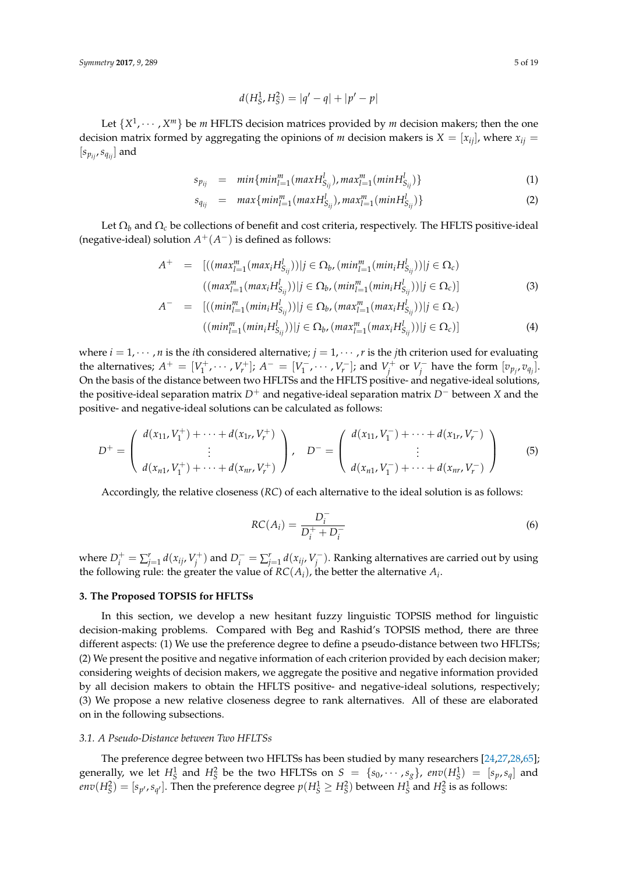$$
d(H_S^1, H_S^2) = |q' - q| + |p' - p|
$$

Let  $\{X^1, \dots, X^m\}$  be *m* HFLTS decision matrices provided by *m* decision makers; then the one decision matrix formed by aggregating the opinions of *m* decision makers is  $X = [x_{ij}]$ , where  $x_{ij} =$  $[s_{p_{ij}}, s_{q_{ij}}]$  and

<span id="page-4-1"></span>
$$
s_{p_{ij}} = min\{min_{l=1}^{m}(maxH_{S_{ij}}^{l}), max_{l=1}^{m}(minH_{S_{ij}}^{l})\}
$$
(1)

$$
s_{q_{ij}} = \max\{ \min_{l=1}^{m} (\max H_{S_{ij}}^l), \max_{l=1}^{m} (\min H_{S_{ij}}^l) \} \tag{2}
$$

Let  $\Omega_b$  and  $\Omega_c$  be collections of benefit and cost criteria, respectively. The HFLTS positive-ideal (negative-ideal) solution  $A^+(A^-)$  is defined as follows:

<span id="page-4-3"></span>
$$
A^{+} = [((max_{l=1}^{m}(max_{i}H_{S_{ij}}^{l}))|j \in \Omega_{b}, (min_{l=1}^{m}(min_{i}H_{S_{ij}}^{l}))|j \in \Omega_{c})
$$
  

$$
((max_{l=1}^{m}(max_{i}H_{S_{ij}}^{l}))|j \in \Omega_{b}, (min_{l=1}^{m}(min_{i}H_{S_{ij}}^{l}))|j \in \Omega_{c})]
$$
  

$$
A^{-} = [((min_{l=1}^{m}(min_{i}H_{S_{ij}}^{l}))|j \in \Omega_{b}, (max_{l=1}^{m}(max_{i}H_{S_{ij}}^{l}))|j \in \Omega_{c})
$$
\n(3)

$$
((min_{l=1}^{m}(min_{i}H_{S_{ij}}^{l}))|j \in \Omega_{b},(max_{l=1}^{m}(max_{i}H_{S_{ij}}^{l}))|j \in \Omega_{c})]
$$
\n(4)

where  $i = 1, \dots, n$  is the *i*th considered alternative;  $j = 1, \dots, r$  is the *j*th criterion used for evaluating the alternatives;  $A^+ = [V_1^+, \cdots, V_r^+]$ ;  $A^- = [V_1^-]$  $[V_1^-$ ,  $\cdots$  ,  $V_r^-$ ]; and  $V_j^+$  or  $V_j^$  $y_j^-$  have the form  $[v_{p_j}, v_{q_j}]$ . On the basis of the distance between two HFLTSs and the HFLTS positive- and negative-ideal solutions, the positive-ideal separation matrix *D*<sup>+</sup> and negative-ideal separation matrix *D*<sup>−</sup> between *X* and the positive- and negative-ideal solutions can be calculated as follows:

$$
D^{+} = \left(\begin{array}{c} d(x_{11}, V_{1}^{+}) + \cdots + d(x_{1r}, V_{r}^{+}) \\ \vdots \\ d(x_{n1}, V_{1}^{+}) + \cdots + d(x_{nr}, V_{r}^{+}) \end{array}\right), \quad D^{-} = \left(\begin{array}{c} d(x_{11}, V_{1}^{-}) + \cdots + d(x_{1r}, V_{r}^{-}) \\ \vdots \\ d(x_{n1}, V_{1}^{-}) + \cdots + d(x_{nr}, V_{r}^{-}) \end{array}\right)
$$
(5)

Accordingly, the relative closeness (*RC*) of each alternative to the ideal solution is as follows:

<span id="page-4-4"></span>
$$
RC(A_i) = \frac{D_i^-}{D_i^+ + D_i^-}
$$
\n
$$
\tag{6}
$$

where  $D_i^+ = \sum_{j=1}^r d(x_{ij}, V_j^+)$  and  $D_i^- = \sum_{j=1}^r d(x_{ij}, V_j^-)$ *j* ). Ranking alternatives are carried out by using the following rule: the greater the value of  $RC(A_i)$ , the better the alternative  $A_i$ .

#### <span id="page-4-0"></span>**3. The Proposed TOPSIS for HFLTSs**

In this section, we develop a new hesitant fuzzy linguistic TOPSIS method for linguistic decision-making problems. Compared with Beg and Rashid's TOPSIS method, there are three different aspects: (1) We use the preference degree to define a pseudo-distance between two HFLTSs; (2) We present the positive and negative information of each criterion provided by each decision maker; considering weights of decision makers, we aggregate the positive and negative information provided by all decision makers to obtain the HFLTS positive- and negative-ideal solutions, respectively; (3) We propose a new relative closeness degree to rank alternatives. All of these are elaborated on in the following subsections.

#### <span id="page-4-2"></span>*3.1. A Pseudo-Distance between Two HFLTSs*

The preference degree between two HFLTSs has been studied by many researchers [\[24](#page-16-3)[,27](#page-16-6)[,28,](#page-16-7)[65\]](#page-18-4); generally, we let  $H_S^1$  and  $H_S^2$  be the two HFLTSs on  $S = \{s_0, \dots, s_g\}$ ,  $env(H_S^1) = [s_p, s_q]$  and  $env(H_S^2) = [s_{p'}, s_{q'}].$  Then the preference degree  $p(H_S^1 \geq H_S^2)$  between  $H_S^1$  and  $H_S^2$  is as follows: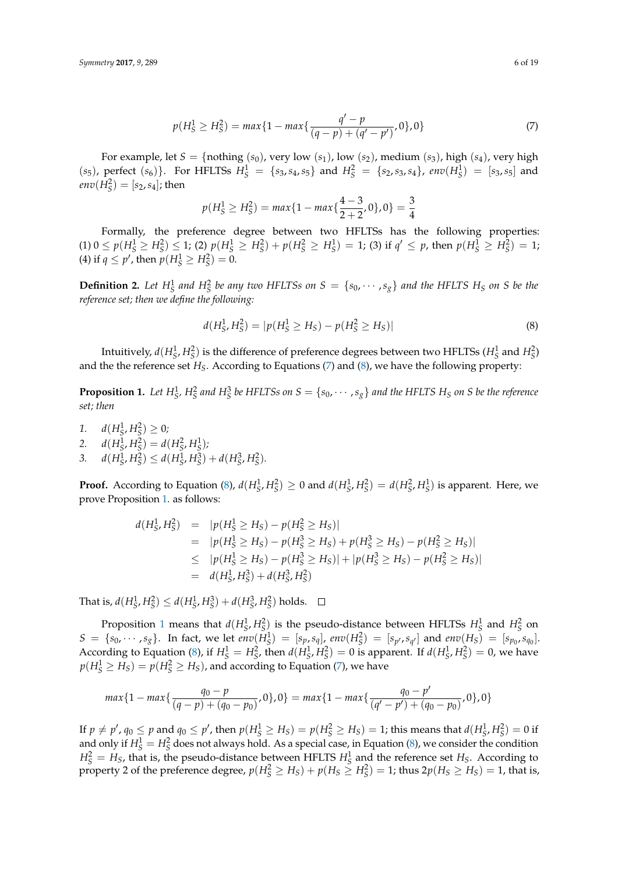<span id="page-5-0"></span>
$$
p(H_S^1 \ge H_S^2) = \max\{1 - \max\{\frac{q' - p}{(q - p) + (q' - p')}, 0\}, 0\}
$$
\n(7)

For example, let  $S = \{nothing(s_0), very low(s_1), low(s_2), medium(s_3), high(s_4), very high\}$  $(s_5)$ , perfect  $(s_6)$ . For HFLTSs  $H_S^1 = \{s_3, s_4, s_5\}$  and  $H_S^2 = \{s_2, s_3, s_4\}$ ,  $env(H_S^1) = [s_3, s_5]$  and  $env(H_S^2) = [s_2, s_4]$ ; then

$$
p(H_S^1 \ge H_S^2) = \max\{1 - \max\{\frac{4-3}{2+2}, 0\}, 0\} = \frac{3}{4}
$$

Formally, the preference degree between two HFLTSs has the following properties:  $(1) 0 \le p(H_S^1 \ge H_S^2) \le 1$ ; (2)  $p(H_S^1 \ge H_S^2) + p(H_S^2 \ge H_S^1) = 1$ ; (3) if  $q' \le p$ , then  $p(H_S^1 \ge H_S^2) = 1$ ; (4) if  $q \leq p'$ , then  $p(H_S^1 \geq H_S^2) = 0$ .

**Definition 2.** Let  $H_S^1$  and  $H_S^2$  be any two HFLTSs on  $S = \{s_0, \dots, s_g\}$  and the HFLTS  $H_S$  on S be the *reference set; then we define the following:*

<span id="page-5-1"></span>
$$
d(H_S^1, H_S^2) = |p(H_S^1 \ge H_S) - p(H_S^2 \ge H_S)|
$$
\n(8)

Intuitively,  $d(H_S^1, H_S^2)$  is the difference of preference degrees between two HFLTSs  $(H_S^1$  and  $H_S^2)$ and the the reference set *HS*. According to Equations [\(7\)](#page-5-0) and [\(8\)](#page-5-1), we have the following property:

<span id="page-5-2"></span>**Proposition 1.** Let  $H_S^1$ ,  $H_S^2$  and  $H_S^3$  be HFLTSs on  $S = \{s_0, \cdots, s_g\}$  and the HFLTS  $H_S$  on S be the reference *set; then*

- 1.  $d(H_S^1, H_S^2) \geq 0;$ 2.  $d(H_S^1, H_S^2) = d(H_S^2, H_S^1);$
- 3.  $d(H_S^1, H_S^2) \leq d(H_S^1, H_S^3) + d(H_S^3, H_S^2).$

**Proof.** According to Equation [\(8\)](#page-5-1),  $d(H_S^1, H_S^2) \ge 0$  and  $d(H_S^1, H_S^2) = d(H_S^2, H_S^1)$  is apparent. Here, we prove Proposition [1.](#page-5-2) as follows:

$$
d(H_S^1, H_S^2) = |p(H_S^1 \ge H_S) - p(H_S^2 \ge H_S)|
$$
  
\n
$$
= |p(H_S^1 \ge H_S) - p(H_S^3 \ge H_S) + p(H_S^3 \ge H_S) - p(H_S^2 \ge H_S)|
$$
  
\n
$$
\le |p(H_S^1 \ge H_S) - p(H_S^3 \ge H_S)| + |p(H_S^3 \ge H_S) - p(H_S^2 \ge H_S)|
$$
  
\n
$$
= d(H_S^1, H_S^3) + d(H_S^3, H_S^2)
$$

That is,  $d(H_S^1, H_S^2) \le d(H_S^1, H_S^3) + d(H_S^3, H_S^2)$  holds.

Proposition [1](#page-5-2) means that  $d(H_S^1, H_S^2)$  is the pseudo-distance between HFLTSs  $H_S^1$  and  $H_S^2$  on  $S = \{s_0, \dots, s_g\}$ . In fact, we let  $env(H_S^1) = [s_p, s_q]$ ,  $env(H_S^2) = [s_{p'}, s_{q'}]$  and  $env(H_S) = [s_{p_0}, s_{q_0}]$ . According to Equation [\(8\)](#page-5-1), if  $H_S^1 = H_S^2$ , then  $d(H_S^1, H_S^2) = 0$  is apparent. If  $d(H_S^1, H_S^2) = 0$ , we have  $p(H_S^1 \geq H_S) = p(H_S^2 \geq H_S)$ , and according to Equation [\(7\)](#page-5-0), we have

$$
max\{1 - max\{\frac{q_0 - p}{(q - p) + (q_0 - p_0)}, 0\}, 0\} = max\{1 - max\{\frac{q_0 - p'}{(q' - p') + (q_0 - p_0)}, 0\}, 0\}
$$

If  $p \neq p'$ ,  $q_0 \leq p$  and  $q_0 \leq p'$ , then  $p(H_S^1 \geq H_S) = p(H_S^2 \geq H_S) = 1$ ; this means that  $d(H_S^1, H_S^2) = 0$  if and only if  $H_S^1 = H_S^2$  does not always hold. As a special case, in Equation [\(8\)](#page-5-1), we consider the condition  $H_S^2 = H_S$ , that is, the pseudo-distance between HFLTS  $H_S^1$  and the reference set  $H_S$ . According to property 2 of the preference degree,  $p(H_S^2 \ge H_S) + p(H_S \ge H_S^2) = 1$ ; thus  $2p(H_S \ge H_S) = 1$ , that is,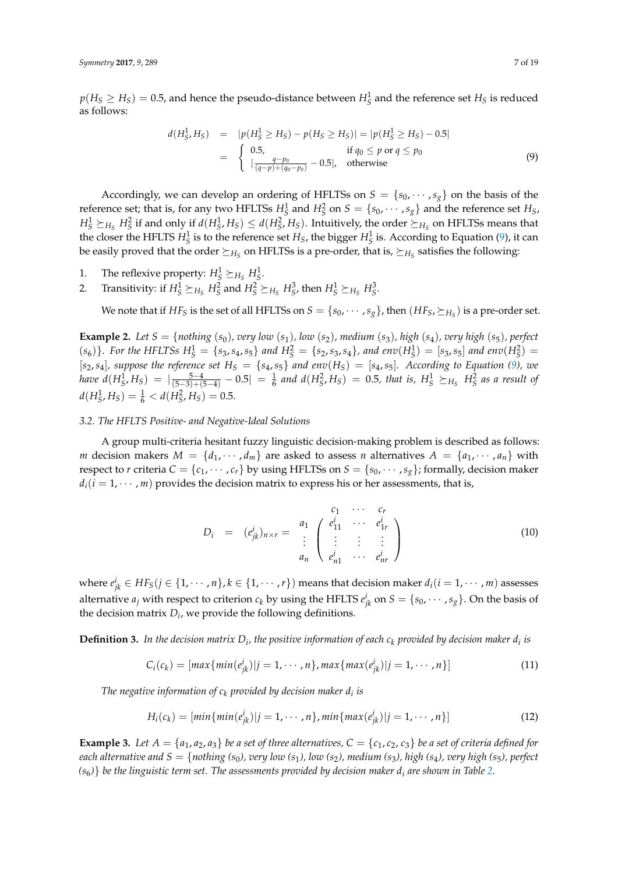$p(H_S \geq H_S) = 0.5$ , and hence the pseudo-distance between  $H_S^1$  and the reference set  $H_S$  is reduced as follows:

<span id="page-6-0"></span>
$$
d(H_S^1, H_S) = |p(H_S^1 \ge H_S) - p(H_S \ge H_S)| = |p(H_S^1 \ge H_S) - 0.5|
$$
  
= 
$$
\begin{cases} 0.5, & \text{if } q_0 \le p \text{ or } q \le p_0 \\ |\frac{q-p_0}{(q-p)+(q_0-p_0)} - 0.5|, & \text{otherwise} \end{cases}
$$
(9)

Accordingly, we can develop an ordering of HFLTSs on  $S = \{s_0, \dots, s_g\}$  on the basis of the reference set; that is, for any two HFLTSs  $H_S^1$  and  $H_S^2$  on  $S = \{s_0, \dots, s_g\}$  and the reference set  $H_S$ ,  $H_S^1 \succeq_{H_S} H_S^2$  if and only if  $d(H_S^1, H_S) \leq d(H_S^2, H_S)$ . Intuitively, the order  $\succeq_{H_S}$  on HFLTSs means that the closer the HFLTS  $H_S^1$  is to the reference set  $H_S$ , the bigger  $H_S^1$  is. According to Equation [\(9\)](#page-6-0), it can be easily proved that the order  $\succeq_{H_S}$  on HFLTSs is a pre-order, that is,  $\succeq_{H_S}$  satisfies the following:

- 1. The reflexive property:  $H_S^1 \succeq_{H_S} H_S^1$ .
- 2. Transitivity: if  $H_S^1 \succeq_{H_S} H_S^2$  and  $H_S^2 \succeq_{H_S} H_S^3$ , then  $H_S^1 \succeq_{H_S} H_S^3$ .

We note that if  $HF_S$  is the set of all HFLTSs on  $S = \{s_0, \cdots, s_g\}$ , then  $(HF_S, \succeq_{H_S})$  is a pre-order set.

**Example 2.** Let  $S = \{nothing | s \in S \mid s \in S \}$  (*s*<sub>0</sub>), very low  $(s_1)$ , low  $(s_2)$ , medium  $(s_3)$ , high  $(s_4)$ , very high  $(s_5)$ , perfect  $(s_6)$ . For the HFLTSs  $H_S^1 = \{s_3, s_4, s_5\}$  and  $H_S^2 = \{s_2, s_3, s_4\}$ , and env $(H_S^1) = [s_3, s_5]$  and env $(H_S^2) =$  $[s_2, s_4]$ *, suppose the reference set*  $H_S = \{s_4, s_5\}$  *and env* $(H_S) = [s_4, s_5]$ *. According to Equation [\(9\)](#page-6-0), we* have  $d(H_S^1,H_S) = |\frac{5-4}{(5-3)+(5-4)}-0.5| = \frac{1}{6}$  and  $d(H_S^2,H_S) = 0.5$ , that is,  $H_S^1 \succeq_{H_S} H_S^2$  as a result of  $d(H_S^1, H_S) = \frac{1}{6} < d(H_S^2, H_S) = 0.5.$ 

#### <span id="page-6-4"></span>*3.2. The HFLTS Positive- and Negative-Ideal Solutions*

A group multi-criteria hesitant fuzzy linguistic decision-making problem is described as follows: *m* decision makers  $M = \{d_1, \dots, d_m\}$  are asked to assess *n* alternatives  $A = \{a_1, \dots, a_n\}$  with respect to *r* criteria  $C = \{c_1, \dots, c_r\}$  by using HFLTSs on  $S = \{s_0, \dots, s_g\}$ ; formally, decision maker  $d_i(i = 1, \dots, m)$  provides the decision matrix to express his or her assessments, that is,

$$
D_i = (e_{jk}^i)_{n \times r} = \begin{array}{c} c_1 & \cdots & c_r \\ a_1 & e_{11}^i & \cdots & e_{1r}^i \\ \vdots & \vdots & \vdots \\ a_n & e_{n1}^i & \cdots & e_{nr}^i \end{array}
$$
 (10)

where  $e^i_{jk} \in HF_S (j \in \{1, \cdots, n\}, k \in \{1, \cdots, r\})$  means that decision maker  $d_i (i = 1, \cdots, m)$  assesses alternative  $a_j$  with respect to criterion  $c_k$  by using the HFLTS  $e^i_{jk}$  on  $S = \{s_0, \cdots, s_g\}$ . On the basis of the decision matrix  $D_i$ , we provide the following definitions.

**Definition 3.** In the decision matrix  $D_i$ , the positive information of each  $c_k$  provided by decision maker  $d_i$  is

<span id="page-6-2"></span>
$$
C_i(c_k) = [max\{min(e_{jk}^i)|j = 1, \cdots, n\}, max\{max(e_{jk}^i)|j = 1, \cdots, n\}]
$$
\n(11)

*The negative information of c<sup>k</sup> provided by decision maker d<sup>i</sup> is*

<span id="page-6-3"></span>
$$
H_i(c_k) = [min\{min(e^i_{jk})|j = 1, \cdots, n\}, min\{max(e^i_{jk})|j = 1, \cdots, n\}]
$$
\n(12)

<span id="page-6-1"></span>**Example 3.** Let  $A = \{a_1, a_2, a_3\}$  be a set of three alternatives,  $C = \{c_1, c_2, c_3\}$  be a set of criteria defined for *each alternative and*  $S = \{nothing | s_0 \}$ , very low  $(s_1)$ , low  $(s_2)$ , medium  $(s_3)$ , high  $(s_4)$ , very high  $(s_5)$ , perfect  $(s<sub>6</sub>)$ *}* be the linguistic term set. The assessments provided by decision maker  $d<sub>i</sub>$  are shown in Table [2.](#page-7-0)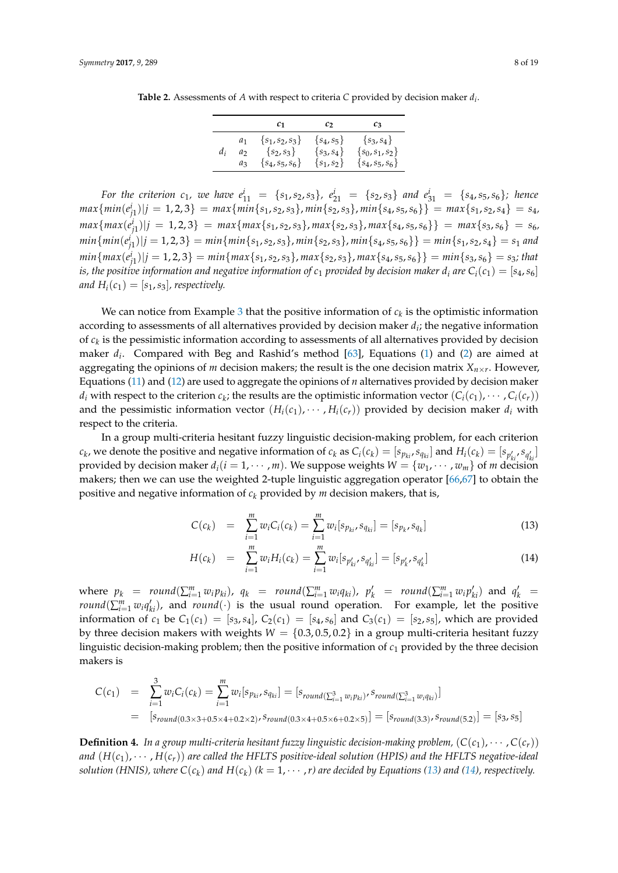<span id="page-7-0"></span>**Table 2.** Assessments of *A* with respect to criteria *C* provided by decision maker *d<sup>i</sup>* .

|    |                | C1                  | $\mathcal{C}$  | $c_3$               |
|----|----------------|---------------------|----------------|---------------------|
| d: | a <sub>1</sub> | $\{s_1, s_2, s_3\}$ | $\{s_4, s_5\}$ | $\{s_3, s_4\}$      |
|    | a,             | $\{s_2, s_3\}$      | $\{s_3, s_4\}$ | $\{s_0, s_1, s_2\}$ |
|    | $a_3$          | $\{s_4, s_5, s_6\}$ | $\{s_1, s_2\}$ | $\{s_4, s_5, s_6\}$ |

For the criterion  $c_1$ , we have  $e_{11}^i = \{s_1, s_2, s_3\}$ ,  $e_{21}^i = \{s_2, s_3\}$  and  $e_{31}^i = \{s_4, s_5, s_6\}$ ; hence  $max\{min(e^i_{j1})|j=1,2,3\} = max\{min\{s_1,s_2,s_3\},min\{s_2,s_3\},min\{s_4,s_5,s_6\}\} = max\{s_1,s_2,s_4\} = s_4,$  $max\{max(e_{j1}^i)|j=1,2,3\} = max\{max\{s_1,s_2,s_3\},max\{s_2,s_3\},max\{s_4,s_5,s_6\}\} = max\{s_3,s_6\} = s_6,$  $min\{min(e_{j1}^i)|j=1,2,3\}=min\{min\{s_1,s_2,s_3\},min\{s_2,s_3\},min\{s_4,s_5,s_6\}\}=min\{s_1,s_2,s_4\}=s_1$  and  $min\{max(e^i_{j1})|j=1,2,3\}=min\{max\{s_1,s_2,s_3\},max\{s_2,s_3\},max\{s_4,s_5,s_6\}\}=min\{s_3,s_6\}=s_3; that$ *is, the positive information and negative information of*  $c_1$  *provided by decision maker*  $d_i$  *are*  $C_i(c_1) = [s_4, s_6]$ *and*  $H_i(c_1) = [s_1, s_3]$ *, respectively.* 

We can notice from Example [3](#page-6-1) that the positive information of  $c_k$  is the optimistic information according to assessments of all alternatives provided by decision maker  $d_i$ ; the negative information of  $c_k$  is the pessimistic information according to assessments of all alternatives provided by decision maker *d<sup>i</sup>* . Compared with Beg and Rashid's method [\[63\]](#page-18-2), Equations [\(1\)](#page-4-1) and [\(2\)](#page-4-1) are aimed at aggregating the opinions of *m* decision makers; the result is the one decision matrix *Xn*×*<sup>r</sup>* . However, Equations [\(11\)](#page-6-2) and [\(12\)](#page-6-3) are used to aggregate the opinions of *n* alternatives provided by decision maker  $d_i$  with respect to the criterion  $c_k$ ; the results are the optimistic information vector  $(C_i(c_1), \cdots, C_i(c_r))$ and the pessimistic information vector  $(H_i(c_1), \cdots, H_i(c_r))$  provided by decision maker  $d_i$  with respect to the criteria.

In a group multi-criteria hesitant fuzzy linguistic decision-making problem, for each criterion  $c_k$ , we denote the positive and negative information of  $c_k$  as  $C_i(c_k) = [s_{p_{ki}}, s_{q_{ki}}]$  and  $H_i(c_k) = [s_{p'_{ki}}, s_{q'_{ki}}]$ provided by decision maker  $d_i(i = 1, \dots, m)$ . We suppose weights  $W = \{w_1, \dots, w_m\}$  of *m* decision makers; then we can use the weighted 2-tuple linguistic aggregation operator [\[66](#page-18-5)[,67\]](#page-18-6) to obtain the positive and negative information of  $c_k$  provided by  $m$  decision makers, that is,

<span id="page-7-1"></span>
$$
C(c_k) = \sum_{i=1}^{m} w_i C_i(c_k) = \sum_{i=1}^{m} w_i [s_{p_{ki}}, s_{q_{ki}}] = [s_{p_k}, s_{q_k}]
$$
\n(13)

$$
H(c_k) = \sum_{i=1}^{m} w_i H_i(c_k) = \sum_{i=1}^{m} w_i [s_{p'_{ki}}, s_{q'_{ki}}] = [s_{p'_{k}}, s_{q'_{k}}]
$$
(14)

where  $p_k = round(\sum_{i=1}^m w_i p_{ki}), q_k = round(\sum_{i=1}^m w_i q_{ki}), p'_k = round(\sum_{i=1}^m w_i p'_{ki})$  and  $q'_k =$ *round*( $\sum_{i=1}^{m} w_i q_{ki}$ ), and *round*(·) is the usual round operation. For example, let the positive information of  $c_1$  be  $C_1(c_1) = [s_3, s_4]$ ,  $C_2(c_1) = [s_4, s_6]$  and  $C_3(c_1) = [s_2, s_5]$ , which are provided by three decision makers with weights  $W = \{0.3, 0.5, 0.2\}$  in a group multi-criteria hesitant fuzzy linguistic decision-making problem; then the positive information of *c*<sup>1</sup> provided by the three decision makers is

$$
C(c_1) = \sum_{i=1}^{3} w_i C_i(c_k) = \sum_{i=1}^{m} w_i [s_{p_{ki}}, s_{q_{ki}}] = [s_{round(\sum_{i=1}^{3} w_i p_{ki})}, s_{round(\sum_{i=1}^{3} w_i q_{ki})}]
$$
  
=  $[s_{round(0.3 \times 3+0.5 \times 4+0.2 \times 2)}, s_{round(0.3 \times 4+0.5 \times 6+0.2 \times 5)}] = [s_{round(3.3)}, s_{round(5.2)}] = [s_3, s_5]$ 

**Definition 4.** In a group multi-criteria hesitant fuzzy linguistic decision-making problem,  $(C(c_1), \cdots, C(c_r))$ and  $(H(c_1), \cdots, H(c_r))$  are called the HFLTS positive-ideal solution (HPIS) and the HFLTS negative-ideal *solution (HNIS), where*  $C(c_k)$  *and*  $H(c_k)$  *(k*  $= 1, \cdots, r$ *) are decided by Equations [\(13\)](#page-7-1) and [\(14\)](#page-7-1), respectively.*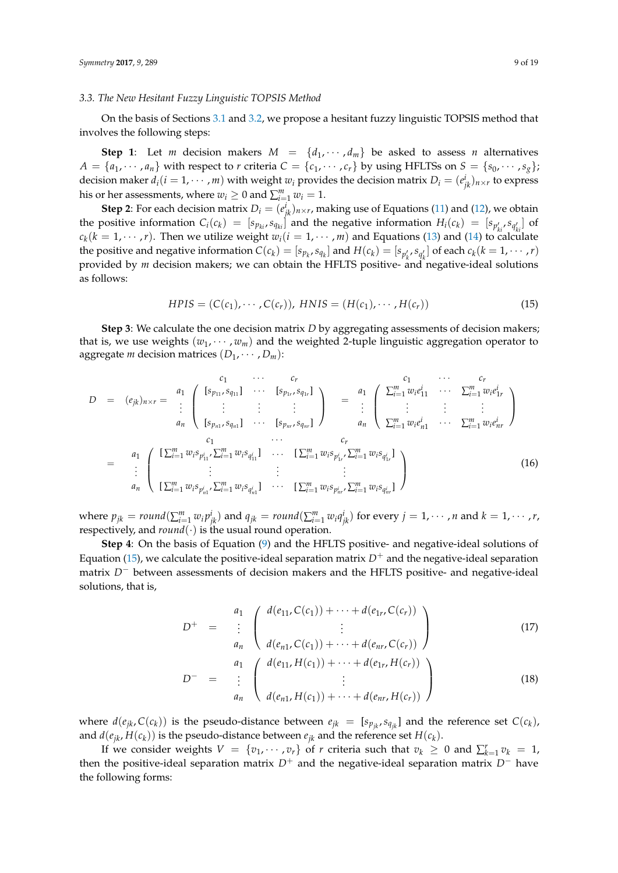#### *3.3. The New Hesitant Fuzzy Linguistic TOPSIS Method*

On the basis of Sections [3.1](#page-4-2) and [3.2,](#page-6-4) we propose a hesitant fuzzy linguistic TOPSIS method that involves the following steps:

**Step 1**: Let *m* decision makers  $M = \{d_1, \dots, d_m\}$  be asked to assess *n* alternatives  $A = \{a_1, \dots, a_n\}$  with respect to *r* criteria  $C = \{c_1, \dots, c_r\}$  by using HFLTSs on  $S = \{s_0, \dots, s_g\}$ ; decision maker  $d_i(i = 1, \cdots, m)$  with weight  $w_i$  provides the decision matrix  $D_i = (e^i_{jk})_{n \times r}$  to express his or her assessments, where  $w_i \geq 0$  and  $\sum_{i=1}^{m} w_i = 1$ .

**Step 2**: For each decision matrix  $D_i = (e^i_{jk})_{n \times r}$ , making use of Equations [\(11\)](#page-6-2) and [\(12\)](#page-6-3), we obtain the positive information  $C_i(c_k) = [s_{p_{ki}}, s_{q_{ki}}]$  and the negative information  $H_i(c_k) = [s_{p'_{ki}}, s_{q'_{ki}}]$  of  $c_k(k = 1, \dots, r)$ . Then we utilize weight  $w_i(i = 1, \dots, m)$  and Equations [\(13\)](#page-7-1) and [\(14\)](#page-7-1) to calculate the positive and negative information  $C(c_k) = [s_{p_k}, s_{q_k}]$  and  $H(c_k) = [s_{p'_k}, s_{q'_k}]$  of each  $c_k (k = 1, \dots, r)$ provided by *m* decision makers; we can obtain the HFLTS positive- and negative-ideal solutions as follows:

<span id="page-8-0"></span>
$$
HPIS = (C(c1), \cdots, C(cr)), HNIS = (H(c1), \cdots, H(cr))
$$
\n(15)

**Step 3**: We calculate the one decision matrix *D* by aggregating assessments of decision makers; that is, we use weights  $(w_1, \dots, w_m)$  and the weighted 2-tuple linguistic aggregation operator to aggregate *m* decision matrices  $(D_1, \cdots, D_m)$ :

<span id="page-8-2"></span>
$$
D = (e_{jk})_{n \times r} = \begin{array}{c} a_1 \\ \vdots \\ a_n \end{array} \begin{pmatrix} c_1 \\ \vdots \\ c_{p_{11}} s_{q_{11}} \end{pmatrix} \cdots \begin{pmatrix} c_r \\ \vdots \\ c_{p_{1r}} s_{q_{1r}} \end{pmatrix} = \begin{array}{c} c_1 \\ \vdots \\ c_1 \\ \vdots \\ c_n \end{array} \begin{pmatrix} c_1 \\ \vdots \\ c_1 \\ \vdots \\ c_n \end{pmatrix} \begin{pmatrix} c_1 \\ \vdots \\ c_1 \\ \vdots \\ c_n \end{pmatrix}
$$
  
\n
$$
= \begin{array}{c} a_1 \\ \vdots \\ a_n \end{array} \begin{pmatrix} \sum_{i=1}^m w_i e_{1i}^i \\ \vdots \\ \sum_{i=1}^m w_i e_{n1}^i \end{pmatrix} \cdots \begin{pmatrix} c_1 \\ \sum_{i=1}^m w_i e_{i1}^i \\ \vdots \\ c_r \\ \vdots \\ c_r \end{pmatrix}
$$
  
\n
$$
= \begin{array}{c} a_1 \\ \vdots \\ a_n \end{array} \begin{pmatrix} \sum_{i=1}^m w_i e_{p_{1i}}^i \sum_{i=1}^m w_i e_{p_{1i}}^i \\ \vdots \\ \sum_{i=1}^m w_i e_{p_{1i}}^i \end{pmatrix} \cdots \begin{pmatrix} c_r \\ \sum_{i=1}^m w_i e_{p_{1i}}^i \\ \vdots \\ c_r \end{pmatrix}
$$
  
\n
$$
= \begin{array}{c} a_1 \\ \vdots \\ a_n \end{array} \begin{pmatrix} \sum_{i=1}^m w_i e_{p_{1i}}^i \sum_{i=1}^m w_i e_{p_{1i}}^i \\ \vdots \\ \sum_{i=1}^m w_i e_{p_{1i}}^i \sum_{i=1}^m w_i e_{q_{1i}}^i \end{pmatrix} \qquad (16)
$$

where  $p_{jk} = round(\sum_{i=1}^{m} w_i p_{jk}^i)$  and  $q_{jk} = round(\sum_{i=1}^{m} w_i q_{jk}^i)$  for every  $j = 1, \dots, n$  and  $k = 1, \dots, r$ , respectively, and  $round(\cdot)$  is the usual round operation.

**Step 4**: On the basis of Equation [\(9\)](#page-6-0) and the HFLTS positive- and negative-ideal solutions of Equation [\(15\)](#page-8-0), we calculate the positive-ideal separation matrix  $D^+$  and the negative-ideal separation matrix *D*<sup>−</sup> between assessments of decision makers and the HFLTS positive- and negative-ideal solutions, that is,

<span id="page-8-1"></span>
$$
D^{+} = \begin{pmatrix} d_{1} & d(e_{11}, C(c_{1})) + \cdots + d(e_{1r}, C(c_{r})) \\ \vdots & \vdots \\ d_{n} & d(e_{n1}, C(c_{1})) + \cdots + d(e_{nr}, C(c_{r})) \end{pmatrix} \tag{17}
$$
\n
$$
D^{-} = \begin{pmatrix} d_{1} & d(e_{11}, H(c_{1})) + \cdots + d(e_{1r}, H(c_{r})) \\ \vdots & \vdots \\ d_{n} & d(e_{n1}, H(c_{1})) + \cdots + d(e_{nr}, H(c_{r})) \end{pmatrix} \tag{18}
$$

where  $d(e_{jk}, C(c_k))$  is the pseudo-distance between  $e_{jk} = [s_{p_{jk}}, s_{q_{jk}}]$  and the reference set  $C(c_k)$ , and  $d(e_{jk}, H(c_k))$  is the pseudo-distance between  $e_{jk}$  and the reference set  $H(c_k)$ .

If we consider weights  $V = \{v_1, \dots, v_r\}$  of *r* criteria such that  $v_k \geq 0$  and  $\sum_{k=1}^r v_k = 1$ , then the positive-ideal separation matrix  $D^+$  and the negative-ideal separation matrix  $D^-$  have the following forms: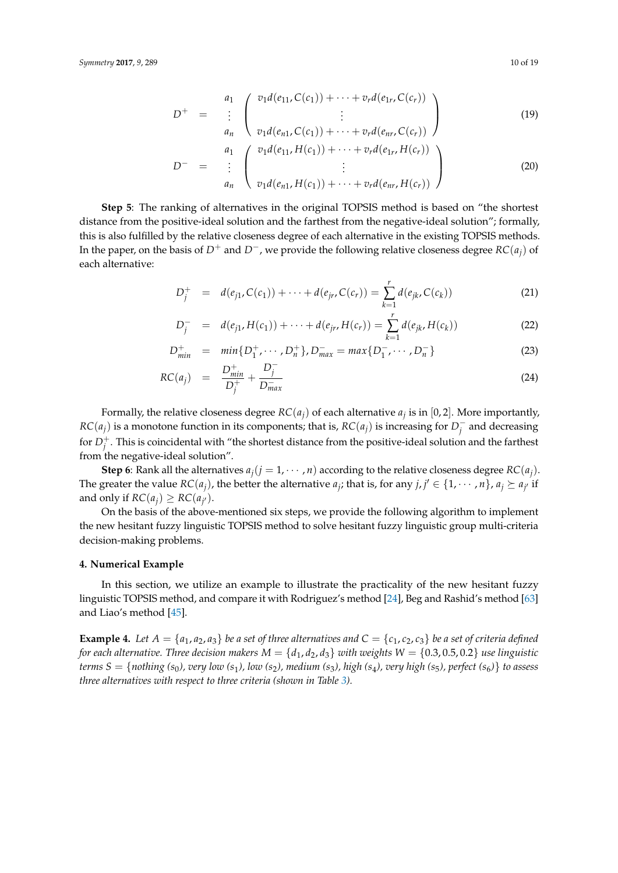<span id="page-9-3"></span>
$$
D^{+} = \begin{array}{c} a_{1} \\ \vdots \\ a_{n} \end{array} \begin{pmatrix} v_{1}d(e_{11}, C(c_{1})) + \cdots + v_{r}d(e_{1r}, C(c_{r})) \\ \vdots \\ v_{1}d(e_{n1}, C(c_{1})) + \cdots + v_{r}d(e_{nr}, C(c_{r})) \end{pmatrix}
$$
  
\n
$$
D^{-} = \begin{array}{c} a_{1} \\ \vdots \\ a_{n} \end{array} \begin{pmatrix} v_{1}d(e_{11}, H(c_{1})) + \cdots + v_{r}d(e_{1r}, H(c_{r})) \\ \vdots \\ v_{1}d(e_{n1}, H(c_{1})) + \cdots + v_{r}d(e_{nr}, H(c_{r})) \end{pmatrix}
$$
 (20)

**Step 5**: The ranking of alternatives in the original TOPSIS method is based on "the shortest distance from the positive-ideal solution and the farthest from the negative-ideal solution"; formally, this is also fulfilled by the relative closeness degree of each alternative in the existing TOPSIS methods. In the paper, on the basis of *D*<sup>+</sup> and *D*−, we provide the following relative closeness degree *RC*(*aj*) of each alternative:

<span id="page-9-1"></span>
$$
D_j^+ = d(e_{j1}, C(c_1)) + \dots + d(e_{jr}, C(c_r)) = \sum_{k=1}^r d(e_{jk}, C(c_k))
$$
\n(21)

$$
D_j^- = d(e_{j1}, H(c_1)) + \cdots + d(e_{jr}, H(c_r)) = \sum_{k=1}^r d(e_{jk}, H(c_k))
$$
\n(22)

$$
D_{min}^+ = min\{D_1^+, \cdots, D_n^+\}, D_{max}^- = max\{D_1^-, \cdots, D_n^-\}\
$$
 (23)

$$
RC(a_j) = \frac{D_{min}^+}{D_j^+} + \frac{D_j^-}{D_{max}^-}
$$
 (24)

Formally, the relative closeness degree  $RC(a_j)$  of each alternative  $a_j$  is in [0, 2]. More importantly, *RC*( $a_j$ ) is a monotone function in its components; that is, *RC*( $a_j$ ) is increasing for  $D_j^ \bar{j}^{\scriptscriptstyle \top}$  and decreasing for  $D_j^+$ . This is coincidental with "the shortest distance from the positive-ideal solution and the farthest from the negative-ideal solution".

**Step 6**: Rank all the alternatives  $a_i$  ( $j = 1, \dots, n$ ) according to the relative closeness degree  $RC(a_i)$ . The greater the value  $RC(a_j)$ , the better the alternative  $a_j$ ; that is, for any  $j, j' \in \{1, \dots, n\}$ ,  $a_j \succeq a_{j'}$  if and only if  $RC(a_j) \geq RC(a_{j'})$ .

On the basis of the above-mentioned six steps, we provide the following algorithm to implement the new hesitant fuzzy linguistic TOPSIS method to solve hesitant fuzzy linguistic group multi-criteria decision-making problems.

#### <span id="page-9-0"></span>**4. Numerical Example**

In this section, we utilize an example to illustrate the practicality of the new hesitant fuzzy linguistic TOPSIS method, and compare it with Rodriguez's method [\[24\]](#page-16-3), Beg and Rashid's method [\[63\]](#page-18-2) and Liao's method [\[45\]](#page-17-13).

<span id="page-9-2"></span>**Example 4.** Let  $A = \{a_1, a_2, a_3\}$  be a set of three alternatives and  $C = \{c_1, c_2, c_3\}$  be a set of criteria defined *for each alternative. Three decision makers*  $M = \{d_1, d_2, d_3\}$  *with weights*  $W = \{0.3, 0.5, 0.2\}$  *use linguistic terms*  $S = \{nothing(s_0), \text{very low } (s_1), \text{low } (s_2), \text{medium } (s_3), \text{high } (s_4), \text{very high } (s_5), \text{perfect } (s_6) \}$  *to assess three alternatives with respect to three criteria (shown in Table [3\)](#page-10-0).*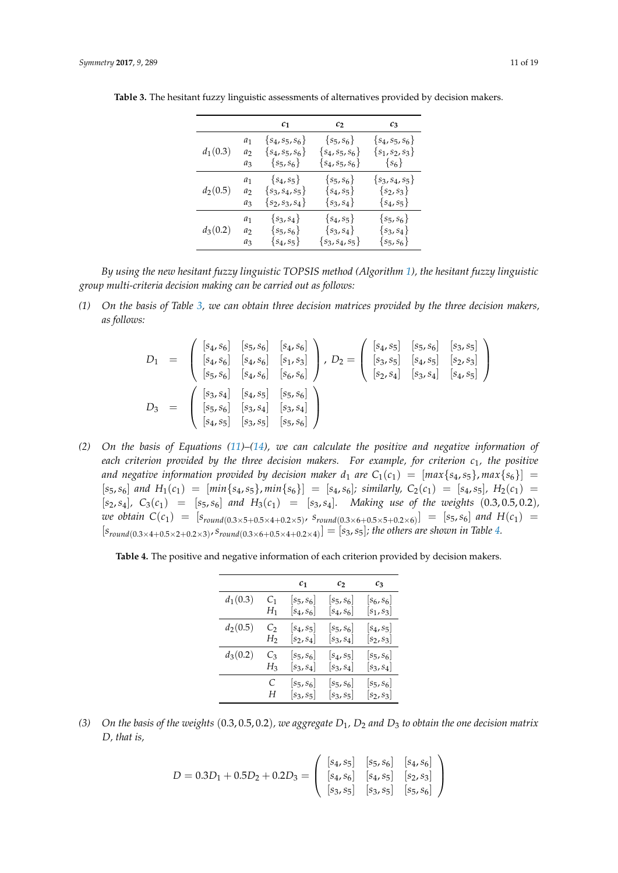|            |       | c <sub>1</sub>      | c <sub>2</sub>      | c <sub>3</sub>      |
|------------|-------|---------------------|---------------------|---------------------|
|            | $a_1$ | $\{s_4, s_5, s_6\}$ | $\{s_5, s_6\}$      | $\{s_4, s_5, s_6\}$ |
| $d_1(0.3)$ | $a_2$ | $\{s_4,s_5,s_6\}$   | $\{s_4, s_5, s_6\}$ | $\{s_1, s_2, s_3\}$ |
|            | $a_3$ | $\{s_5, s_6\}$      | $\{s_4, s_5, s_6\}$ | $\{s_6\}$           |
|            | $a_1$ | $\{s_4, s_5\}$      | $\{s_5, s_6\}$      | $\{s_3, s_4, s_5\}$ |
| $d_2(0.5)$ | $a_2$ | $\{s_3, s_4, s_5\}$ | $\{s_4, s_5\}$      | $\{s_2, s_3\}$      |
|            | $a_3$ | $\{s_2, s_3, s_4\}$ | $\{s_3, s_4\}$      | $\{s_4, s_5\}$      |
|            | $a_1$ | $\{s_3, s_4\}$      | $\{s_4, s_5\}$      | $\{s_5, s_6\}$      |
| $d_3(0.2)$ | a2    | $\{s_5, s_6\}$      | $\{s_3, s_4\}$      | $\{s_3, s_4\}$      |
|            | $a_3$ | $\{s_4, s_5\}$      | $\{s_3, s_4, s_5\}$ | $\{s_5, s_6\}$      |

<span id="page-10-0"></span>**Table 3.** The hesitant fuzzy linguistic assessments of alternatives provided by decision makers.

*By using the new hesitant fuzzy linguistic TOPSIS method (Algorithm [1\)](#page-12-0), the hesitant fuzzy linguistic group multi-criteria decision making can be carried out as follows:*

*(1) On the basis of Table [3,](#page-10-0) we can obtain three decision matrices provided by the three decision makers, as follows:*

$$
D_1 = \begin{pmatrix} [s_4, s_6] & [s_5, s_6] & [s_4, s_6] \\ [s_4, s_6] & [s_4, s_6] & [s_1, s_3] \\ [s_5, s_6] & [s_4, s_6] & [s_6, s_6] \end{pmatrix}, D_2 = \begin{pmatrix} [s_4, s_5] & [s_5, s_6] & [s_3, s_5] \\ [s_3, s_5] & [s_4, s_5] & [s_2, s_3] \\ [s_2, s_4] & [s_3, s_4] & [s_4, s_5] \end{pmatrix}
$$
  

$$
D_3 = \begin{pmatrix} [s_3, s_4] & [s_4, s_5] & [s_5, s_6] \\ [s_5, s_6] & [s_3, s_4] & [s_3, s_4] \\ [s_4, s_5] & [s_3, s_5] & [s_5, s_6] \end{pmatrix}
$$

*(2) On the basis of Equations [\(11\)](#page-6-2)–[\(14\)](#page-7-1), we can calculate the positive and negative information of each criterion provided by the three decision makers. For example, for criterion c*1*, the positive and negative information provided by decision maker*  $d_1$  *are*  $C_1(c_1) = [max\{s_4, s_5\}, max\{s_6\}] =$  $[s_5, s_6]$  and  $H_1(c_1) = [min\{s_4, s_5\}, min\{s_6\}] = [s_4, s_6]$ ; similarly,  $C_2(c_1) = [s_4, s_5]$ ,  $H_2(c_1) =$  $[s_2, s_4]$ ,  $C_3(c_1) = [s_5, s_6]$  *and*  $H_3(c_1) = [s_3, s_4]$ *. Making use of the weights*  $(0.3, 0.5, 0.2)$ *,*  $we$  obtain  $C(c_1) = [s_{round(0.3 \times 5+0.5 \times 4+0.2 \times 5)}$ ,  $s_{round(0.3 \times 6+0.5 \times 5+0.2 \times 6)}] = [s_5, s_6]$  and  $H(c_1)$  $[s_{round(0.3\times4+0.5\times2+0.2\times3)}, s_{round(0.3\times6+0.5\times4+0.2\times4)}] = [s_3, s_5]$ ; the others are shown in Table [4.](#page-10-1)

<span id="page-10-1"></span>**Table 4.** The positive and negative information of each criterion provided by decision makers.

|            |              | c <sub>1</sub> | c <sub>2</sub>          | $c_3$                   |
|------------|--------------|----------------|-------------------------|-------------------------|
| $d_1(0.3)$ | $C_1$        | $[s_5,s_6]$    | $[s_5,s_6]$             | $[s_6,s_6]$             |
|            | $H_{\rm 1}$  | $[s_4,s_6]$    | $[s_4,s_6]$             | $[s_1,s_3]$             |
| $d_2(0.5)$ | Cэ           | $[s_4,s_5]$    | $\left[ s_5,s_6\right]$ | $\left[ s_4,s_5\right]$ |
|            | $_{\rm H_2}$ | $[s_2,s_4]$    | $\left[ s_3,s_4\right]$ | $[s_2,s_3]$             |
| $d_3(0.2)$ | C3           | $[s_5,s_6]$    | $\left[ s_4,s_5\right]$ | $\left[ s_5,s_6\right]$ |
|            | $_{H_3}$     | $[s_3,s_4]$    | $\left[ s_3,s_4\right]$ | $\left[ s_3,s_4\right]$ |
|            | C            | $[s_5,s_6]$    | $[s_5,s_6]$             | $\left[ s_5,s_6\right]$ |
|            | Н            | $[s_3, s_5]$   | $\left[ s_3,s_5\right]$ | $[s_2,s_3]$             |

*(3) On the basis of the weights* (0.3, 0.5, 0.2)*, we aggregate D*1*, D*<sup>2</sup> *and D*<sup>3</sup> *to obtain the one decision matrix D, that is,*

$$
D = 0.3D_1 + 0.5D_2 + 0.2D_3 = \begin{pmatrix} [s_4, s_5] & [s_5, s_6] & [s_4, s_6] \\ [s_4, s_6] & [s_4, s_5] & [s_2, s_3] \\ [s_3, s_5] & [s_3, s_5] & [s_5, s_6] \end{pmatrix}
$$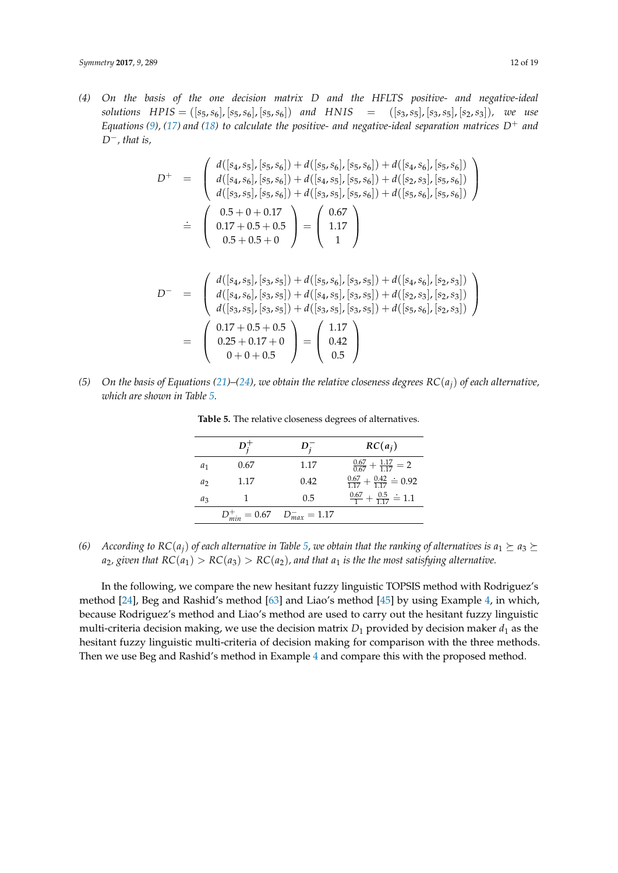*(4) On the basis of the one decision matrix D and the HFLTS positive- and negative-ideal solutions*  $HPIS = ([s_5, s_6], [s_5, s_6], [s_5, s_6])$  *and*  $HNIS = ([s_3, s_5], [s_3, s_5], [s_2, s_3])$ *, we use Equations* [\(9\)](#page-6-0), [\(17\)](#page-8-1) and [\(18\)](#page-8-1) to calculate the positive- and negative-ideal separation matrices  $D^+$  and *D*−*, that is,*

$$
D^{+} = \begin{pmatrix} d([s_{4}, s_{5}], [s_{5}, s_{6}]) + d([s_{5}, s_{6}], [s_{5}, s_{6}]) + d([s_{4}, s_{6}], [s_{5}, s_{6}]) \\ d([s_{4}, s_{6}], [s_{5}, s_{6}]) + d([s_{4}, s_{5}], [s_{5}, s_{6}]) + d([s_{2}, s_{3}], [s_{5}, s_{6}]) \\ d([s_{3}, s_{5}], [s_{5}, s_{6}]) + d([s_{3}, s_{5}], [s_{5}, s_{6}]) + d([s_{5}, s_{6}], [s_{5}, s_{6}]) \end{pmatrix}
$$
  

$$
\dot{=} \begin{pmatrix} 0.5 + 0 + 0.17 \\ 0.17 + 0.5 + 0.5 \\ 0.5 + 0.5 + 0 \end{pmatrix} = \begin{pmatrix} 0.67 \\ 1.17 \\ 1 \end{pmatrix}
$$

$$
D^{-} = \begin{pmatrix} d([s_4, s_5], [s_3, s_5]) + d([s_5, s_6], [s_3, s_5]) + d([s_4, s_6], [s_2, s_3]) \\ d([s_4, s_6], [s_3, s_5]) + d([s_4, s_5], [s_3, s_5]) + d([s_2, s_3], [s_2, s_3]) \\ d([s_3, s_5], [s_3, s_5]) + d([s_3, s_5], [s_3, s_5]) + d([s_5, s_6], [s_2, s_3]) \end{pmatrix}
$$
  
= 
$$
\begin{pmatrix} 0.17 + 0.5 + 0.5 \\ 0.25 + 0.17 + 0 \\ 0 + 0 + 0.5 \end{pmatrix} = \begin{pmatrix} 1.17 \\ 0.42 \\ 0.5 \end{pmatrix}
$$

<span id="page-11-0"></span>*(5) On the basis of Equations [\(21\)](#page-9-1)–[\(24\)](#page-9-1), we obtain the relative closeness degrees RC*(*aj*) *of each alternative, which are shown in Table [5.](#page-11-0)*

|                | $D_i^+$ | $D_i^-$                               | $RC(a_i)$                                      |
|----------------|---------|---------------------------------------|------------------------------------------------|
| $a_1$          | 0.67    | 1.17                                  | $\frac{0.67}{0.67} + \frac{1.17}{1.17} = 2$    |
| a <sub>2</sub> | 1.17    | 0.42                                  | $\frac{0.67}{1.17} + \frac{0.42}{1.17} = 0.92$ |
| $a_3$          |         | 0.5                                   | $\frac{0.67}{1} + \frac{0.5}{117} = 1.1$       |
|                |         | $D_{min}^+ = 0.67$ $D_{max}^- = 1.17$ |                                                |

**Table 5.** The relative closeness degrees of alternatives.

*(6) According to*  $RC(a_i)$  *of each alternative in Table* [5,](#page-11-0) *we obtain that the ranking of alternatives is*  $a_1 \succeq a_3 \succeq a_1$  $a_2$ , given that  $RC(a_1) > RC(a_3) > RC(a_2)$ , and that  $a_1$  is the the most satisfying alternative.

In the following, we compare the new hesitant fuzzy linguistic TOPSIS method with Rodriguez's method [\[24\]](#page-16-3), Beg and Rashid's method [\[63\]](#page-18-2) and Liao's method [\[45\]](#page-17-13) by using Example [4,](#page-9-2) in which, because Rodriguez's method and Liao's method are used to carry out the hesitant fuzzy linguistic multi-criteria decision making, we use the decision matrix  $D_1$  provided by decision maker  $d_1$  as the hesitant fuzzy linguistic multi-criteria of decision making for comparison with the three methods. Then we use Beg and Rashid's method in Example [4](#page-9-2) and compare this with the proposed method.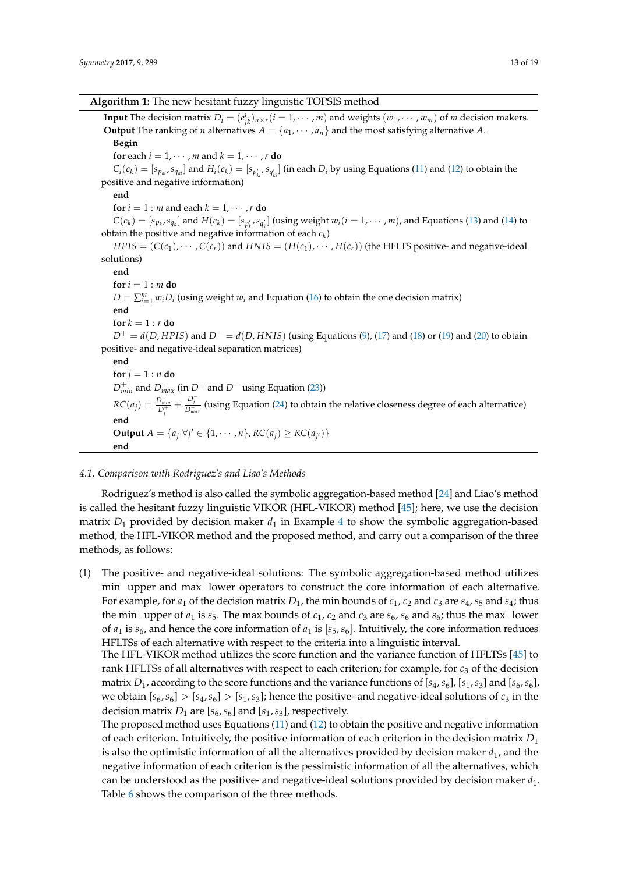#### **Algorithm 1:** The new hesitant fuzzy linguistic TOPSIS method

<span id="page-12-0"></span>**Input** The decision matrix  $D_i = (e_{jk}^i)_{n \times r}$   $(i = 1, \dots, m)$  and weights  $(w_1, \dots, w_m)$  of *m* decision makers. **Output** The ranking of *n* alternatives  $A = \{a_1, \dots, a_n\}$  and the most satisfying alternative A.

**Begin**

**for** each  $i = 1, \dots, m$  and  $k = 1, \dots, r$  **do** 

 $C_i(c_k) = [s_{p_{ki}}, s_{q_{ki}}]$  and  $H_i(c_k) = [s_{p'_{ki}}, s_{q'_{ki}}]$  (in each  $D_i$  by using Equations [\(11\)](#page-6-2) and [\(12\)](#page-6-3) to obtain the positive and negative information)

**end**

**for**  $i = 1$  : *m* and each  $k = 1, \dots, r$  **do** 

 $C(c_k) = [s_{p_k}, s_{q_k}]$  and  $H(c_k) = [s_{p'_k}, s_{q'_k}]$  (using weight  $w_i (i = 1, \dots, m)$ , and Equations [\(13\)](#page-7-1) and [\(14\)](#page-7-1) to obtain the positive and negative information of each *c<sup>k</sup>* )

 $HPIS = (C(c_1), \cdots, C(c_r))$  and  $HNIS = (H(c_1), \cdots, H(c_r))$  (the HFLTS positive- and negative-ideal solutions)

**end**

 $$ 

 $D = \sum_{i=1}^{m} w_i D_i$  (using weight  $w_i$  and Equation [\(16\)](#page-8-2) to obtain the one decision matrix)

**end**  $f$ **or**  $k = 1 : r$  **do** 

 $D^+ = d(D, HPIS)$  and  $D^- = d(D, HNIS)$  (using Equations [\(9\)](#page-6-0), [\(17\)](#page-8-1) and [\(18\)](#page-8-1) or [\(19\)](#page-9-3) and [\(20\)](#page-9-3) to obtain positive- and negative-ideal separation matrices)

**end** for  $j = 1 : n$  do *D* + *min* and *<sup>D</sup>*<sup>−</sup> *max* (in *<sup>D</sup>*<sup>+</sup> and *<sup>D</sup>*<sup>−</sup> using Equation [\(23\)](#page-9-1))  $RC(a_j) = \frac{D_{min}^+}{D_j^+} + \frac{D_j^-}{D_{max}^-}$  (using Equation [\(24\)](#page-9-1) to obtain the relative closeness degree of each alternative) **end Output** *A* = { $a_j | \forall j' \in \{1, \cdots, n\}$ ,  $RC(a_j) ≥ RC(a_{j'})\}$ **end**

#### *4.1. Comparison with Rodriguez's and Liao's Methods*

Rodriguez's method is also called the symbolic aggregation-based method [\[24\]](#page-16-3) and Liao's method is called the hesitant fuzzy linguistic VIKOR (HFL-VIKOR) method [\[45\]](#page-17-13); here, we use the decision matrix  $D_1$  provided by decision maker  $d_1$  in Example [4](#page-9-2) to show the symbolic aggregation-based method, the HFL-VIKOR method and the proposed method, and carry out a comparison of the three methods, as follows:

(1) The positive- and negative-ideal solutions: The symbolic aggregation-based method utilizes min−upper and max−lower operators to construct the core information of each alternative. For example, for  $a_1$  of the decision matrix  $D_1$ , the min bounds of  $c_1$ ,  $c_2$  and  $c_3$  are  $s_4$ ,  $s_5$  and  $s_4$ ; thus the min−upper of *a*<sup>1</sup> is *s*5. The max bounds of *c*1, *c*<sup>2</sup> and *c*<sup>3</sup> are *s*6, *s*<sup>6</sup> and *s*6; thus the max−lower of  $a_1$  is  $s_6$ , and hence the core information of  $a_1$  is  $[s_5, s_6]$ . Intuitively, the core information reduces HFLTSs of each alternative with respect to the criteria into a linguistic interval.

The HFL-VIKOR method utilizes the score function and the variance function of HFLTSs [\[45\]](#page-17-13) to rank HFLTSs of all alternatives with respect to each criterion; for example, for  $c_3$  of the decision matrix  $D_1$ , according to the score functions and the variance functions of  $[s_4, s_6]$ ,  $[s_1, s_3]$  and  $[s_6, s_6]$ , we obtain  $[s_6, s_6] > [s_4, s_6] > [s_1, s_3]$ ; hence the positive- and negative-ideal solutions of  $c_3$  in the decision matrix  $D_1$  are  $[s_6, s_6]$  and  $[s_1, s_3]$ , respectively.

The proposed method uses Equations [\(11\)](#page-6-2) and [\(12\)](#page-6-3) to obtain the positive and negative information of each criterion. Intuitively, the positive information of each criterion in the decision matrix *D*<sup>1</sup> is also the optimistic information of all the alternatives provided by decision maker  $d_1$ , and the negative information of each criterion is the pessimistic information of all the alternatives, which can be understood as the positive- and negative-ideal solutions provided by decision maker *d*1. Table [6](#page-13-0) shows the comparison of the three methods.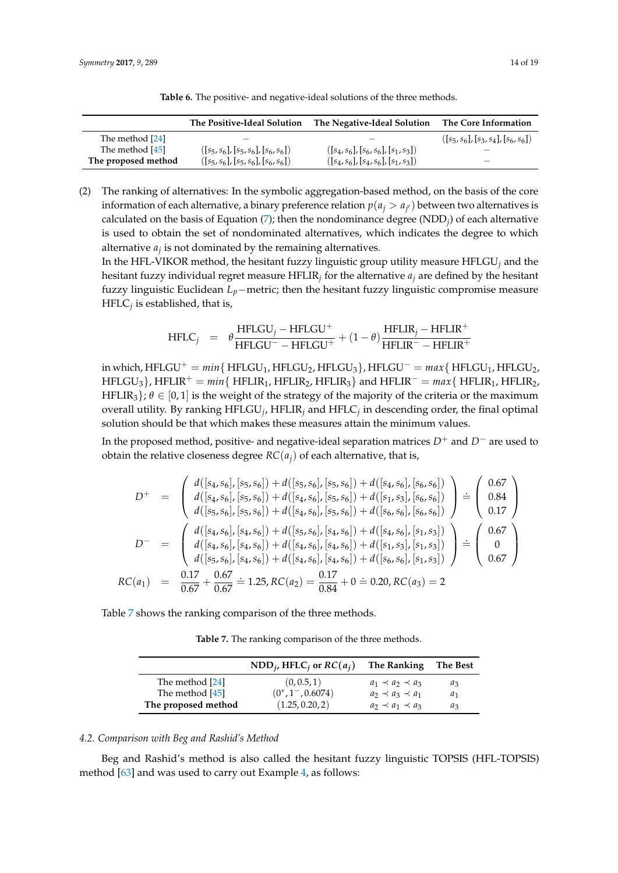<span id="page-13-0"></span>

|                     | The Positive-Ideal Solution            | The Negative-Ideal Solution            | The Core Information                   |
|---------------------|----------------------------------------|----------------------------------------|----------------------------------------|
| The method [24]     |                                        |                                        | $([s_5, s_6], [s_3, s_4], [s_6, s_6])$ |
| The method [45]     | $([s_5, s_6], [s_5, s_6], [s_6, s_6])$ | $([s_4, s_6], [s_6, s_6], [s_1, s_3])$ |                                        |
| The proposed method | $([s_5, s_6], [s_5, s_6], [s_6, s_6])$ | $([s_4, s_6], [s_4, s_6], [s_1, s_3])$ | $\overline{\phantom{a}}$               |

**Table 6.** The positive- and negative-ideal solutions of the three methods.

(2) The ranking of alternatives: In the symbolic aggregation-based method, on the basis of the core information of each alternative, a binary preference relation  $p(a_j > a_{j'})$  between two alternatives is calculated on the basis of Equation [\(7\)](#page-5-0); then the nondominance degree (NDD*<sup>j</sup>* ) of each alternative is used to obtain the set of nondominated alternatives, which indicates the degree to which alternative  $a_j$  is not dominated by the remaining alternatives.

In the HFL-VIKOR method, the hesitant fuzzy linguistic group utility measure HFLGU*<sup>j</sup>* and the hesitant fuzzy individual regret measure HFLIR*<sup>j</sup>* for the alternative *a<sup>j</sup>* are defined by the hesitant fuzzy linguistic Euclidean *Lp*−metric; then the hesitant fuzzy linguistic compromise measure HFLC*<sup>j</sup>* is established, that is,

$$
HFLC_j = \theta \frac{HFLGU_j - HFLGU^+}{HFLGU^- - HFLGU^+} + (1 - \theta) \frac{HFLIR_j - HFLIR^+}{HFLIR^- - HFLIR^+}
$$

in which,  $HFLGU^+ = min\{ HFLGU_1, HFLGU_2, HFLGU_3 \}$ ,  $HFLGU^- = max\{ HFLGU_1, HFLGU_2,$  $HFLGU<sub>3</sub>$ ,  $HFLIR<sup>+</sup> = min{ HFLIR<sub>1</sub>, HFLIR<sub>2</sub>, HFLIR<sub>3</sub>}$  and  $HFLIR<sup>-</sup> = max{ HFLIR<sub>1</sub>, HFLIR<sub>2</sub> }$ HFLIR<sub>3</sub>};  $\theta \in [0, 1]$  is the weight of the strategy of the majority of the criteria or the maximum overall utility. By ranking  $\mathrm{HFLGU}_{j}$ ,  $\mathrm{HFLIR}_{j}$  and  $\mathrm{HFLC}_{j}$  in descending order, the final optimal solution should be that which makes these measures attain the minimum values.

In the proposed method, positive- and negative-ideal separation matrices *D*<sup>+</sup> and *D*<sup>−</sup> are used to obtain the relative closeness degree  $RC(a_i)$  of each alternative, that is,

$$
D^{+} = \begin{pmatrix} d([s_{4}, s_{6}], [s_{5}, s_{6}]) + d([s_{5}, s_{6}], [s_{5}, s_{6}]) + d([s_{4}, s_{6}], [s_{6}, s_{6}]) d([s_{4}, s_{6}], [s_{5}, s_{6}]) + d([s_{4}, s_{6}], [s_{5}, s_{6}]) + d([s_{1}, s_{3}], [s_{6}, s_{6}]) d([s_{5}, s_{6}], [s_{5}, s_{6}]) + d([s_{4}, s_{6}], [s_{5}, s_{6}]) + d([s_{6}, s_{6}], [s_{6}, s_{6}]) \end{pmatrix} \doteq \begin{pmatrix} 0.67 \\ 0.84 \\ 0.17 \end{pmatrix}
$$
  
\n
$$
D^{-} = \begin{pmatrix} d([s_{4}, s_{6}], [s_{4}, s_{6}]) + d([s_{5}, s_{6}], [s_{4}, s_{6}]) + d([s_{4}, s_{6}], [s_{1}, s_{3}]) d([s_{5}, s_{6}], [s_{4}, s_{6}]) + d([s_{4}, s_{6}], [s_{4}, s_{6}]) + d([s_{6}, s_{6}], [s_{1}, s_{3}]) d([s_{5}, s_{6}], [s_{4}, s_{6}]) + d([s_{4}, s_{6}], [s_{4}, s_{6}]) + d([s_{6}, s_{6}], [s_{1}, s_{3}]) \end{pmatrix} \doteq \begin{pmatrix} 0.67 \\ 0 \\ 0.67 \end{pmatrix}
$$
  
\n
$$
RC(a_{1}) = \frac{0.17}{0.67} + \frac{0.67}{0.67} = 1.25, RC(a_{2}) = \frac{0.17}{0.84} + 0 = 0.20, RC(a_{3}) = 2
$$

<span id="page-13-1"></span>Table [7](#page-13-1) shows the ranking comparison of the three methods.

**Table 7.** The ranking comparison of the three methods.

|                     | NDD <sub>i</sub> , HFLC <sub>i</sub> or $RC(a_i)$ | The Ranking               | The Best |
|---------------------|---------------------------------------------------|---------------------------|----------|
| The method [24]     | (0, 0.5, 1)                                       | $a_1 \prec a_2 \prec a_3$ | $a_3$    |
| The method [45]     | $(0^*, 1^-, 0.6074)$                              | $a_2 \prec a_3 \prec a_1$ | a1       |
| The proposed method | (1.25, 0.20, 2)                                   | $a_2 \prec a_1 \prec a_3$ | $a_3$    |

#### *4.2. Comparison with Beg and Rashid's Method*

Beg and Rashid's method is also called the hesitant fuzzy linguistic TOPSIS (HFL-TOPSIS) method [\[63\]](#page-18-2) and was used to carry out Example [4,](#page-9-2) as follows: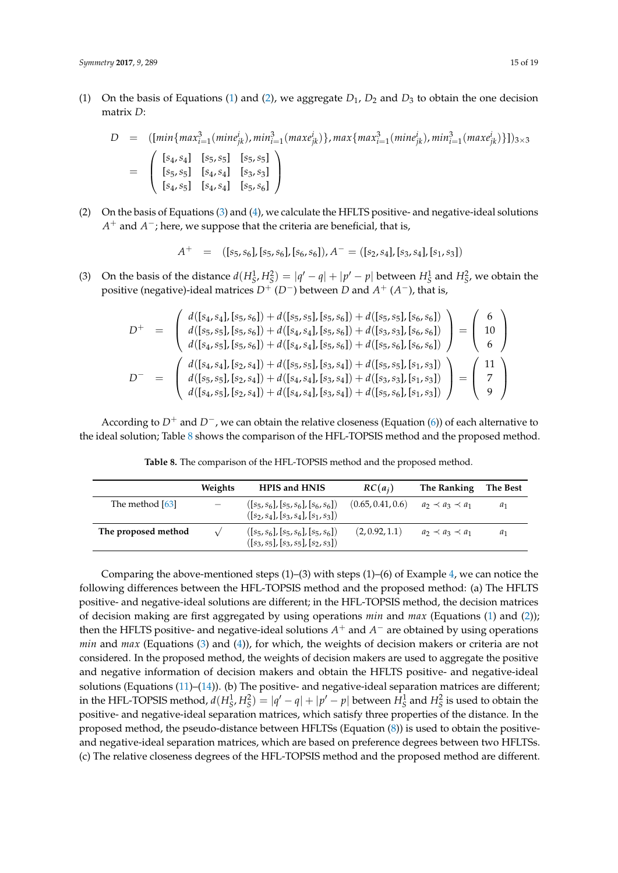[\(1\)](#page-4-1) On the basis of Equations (1) and [\(2\)](#page-4-1), we aggregate  $D_1$ ,  $D_2$  and  $D_3$  to obtain the one decision matrix *D*:

$$
D = ([min\{max_{i=1}^{3}(mine_{jk}^{i}), min_{i=1}^{3}(max_{jk}^{i})\}, max\{max_{i=1}^{3}(mine_{jk}^{i}), min_{i=1}^{3}(max_{jk}^{i})\}])_{3\times 3}
$$
  

$$
= \begin{pmatrix} [s_{4}, s_{4}] & [s_{5}, s_{5}] & [s_{5}, s_{5}] \\ [s_{4}, s_{5}] & [s_{4}, s_{4}] & [s_{3}, s_{3}] \\ [s_{4}, s_{5}] & [s_{4}, s_{4}] & [s_{5}, s_{6}] \end{pmatrix}
$$

(2) On the basis of Equations [\(3\)](#page-4-3) and [\(4\)](#page-4-3), we calculate the HFLTS positive- and negative-ideal solutions *A*<sup>+</sup> and *A*<sup>−</sup>; here, we suppose that the criteria are beneficial, that is,

$$
A^{+} = ([s_{5}, s_{6}], [s_{5}, s_{6}], [s_{6}, s_{6}]), A^{-} = ([s_{2}, s_{4}], [s_{3}, s_{4}], [s_{1}, s_{3}])
$$

(3) On the basis of the distance  $d(H_S^1, H_S^2) = |q' - q| + |p' - p|$  between  $H_S^1$  and  $H_S^2$ , we obtain the positive (negative)-ideal matrices *D*<sup>+</sup> (*D*−) between *D* and *A* <sup>+</sup> (*A* <sup>−</sup>), that is,

$$
D^{+} = \begin{pmatrix} d([s_4, s_4], [s_5, s_6]) + d([s_5, s_5], [s_5, s_6]) + d([s_5, s_5], [s_6, s_6]) \\ d([s_5, s_5], [s_5, s_6]) + d([s_4, s_4], [s_5, s_6]) + d([s_3, s_3], [s_6, s_6]) \\ d([s_4, s_5], [s_5, s_6]) + d([s_4, s_4], [s_5, s_6]) + d([s_5, s_6], [s_6, s_6]) \end{pmatrix} = \begin{pmatrix} 6 \\ 10 \\ 6 \end{pmatrix}
$$
  

$$
D^{-} = \begin{pmatrix} d([s_4, s_4], [s_2, s_4]) + d([s_5, s_5], [s_3, s_4]) + d([s_5, s_5], [s_1, s_3]) \\ d([s_4, s_5], [s_2, s_4]) + d([s_4, s_4], [s_3, s_4]) + d([s_5, s_6], [s_1, s_3]) \end{pmatrix} = \begin{pmatrix} 11 \\ 7 \\ 9 \end{pmatrix}
$$

<span id="page-14-0"></span>According to *D*<sup>+</sup> and *D*−, we can obtain the relative closeness (Equation [\(6\)](#page-4-4)) of each alternative to the ideal solution; Table [8](#page-14-0) shows the comparison of the HFL-TOPSIS method and the proposed method.

|                     | Weights                  | <b>HPIS and HNIS</b>                                                                 | $RC(a_i)$         | The Ranking               | The Best |
|---------------------|--------------------------|--------------------------------------------------------------------------------------|-------------------|---------------------------|----------|
| The method [63]     | $\overline{\phantom{m}}$ | $(S_5, s_6)$ , $[S_5, s_6]$ , $[S_6, s_6]$<br>$([s_2, s_4], [s_3, s_4], [s_1, s_3])$ | (0.65, 0.41, 0.6) | $a_2 \prec a_3 \prec a_1$ | $a_1$    |
| The proposed method |                          | $(S_5, s_6)$ , $[S_5, s_6]$ , $[S_5, s_6]$<br>$([s_3, s_5], [s_3, s_5], [s_2, s_3])$ | (2, 0.92, 1.1)    | $a_2 \prec a_3 \prec a_1$ | $a_1$    |

**Table 8.** The comparison of the HFL-TOPSIS method and the proposed method.

Comparing the above-mentioned steps  $(1)$ – $(3)$  with steps  $(1)$ – $(6)$  of Example [4,](#page-9-2) we can notice the following differences between the HFL-TOPSIS method and the proposed method: (a) The HFLTS positive- and negative-ideal solutions are different; in the HFL-TOPSIS method, the decision matrices of decision making are first aggregated by using operations *min* and *max* (Equations [\(1\)](#page-4-1) and [\(2\)](#page-4-1)); then the HFLTS positive- and negative-ideal solutions  $A^+$  and  $A^-$  are obtained by using operations *min* and *max* (Equations [\(3\)](#page-4-3) and [\(4\)](#page-4-3)), for which, the weights of decision makers or criteria are not considered. In the proposed method, the weights of decision makers are used to aggregate the positive and negative information of decision makers and obtain the HFLTS positive- and negative-ideal solutions (Equations [\(11\)](#page-6-2)–[\(14\)](#page-7-1)). (b) The positive- and negative-ideal separation matrices are different; in the HFL-TOPSIS method,  $d(H_S^1, H_S^2) = |q' - q| + |p' - p|$  between  $H_S^1$  and  $H_S^2$  is used to obtain the positive- and negative-ideal separation matrices, which satisfy three properties of the distance. In the proposed method, the pseudo-distance between HFLTSs (Equation [\(8\)](#page-5-1)) is used to obtain the positiveand negative-ideal separation matrices, which are based on preference degrees between two HFLTSs. (c) The relative closeness degrees of the HFL-TOPSIS method and the proposed method are different.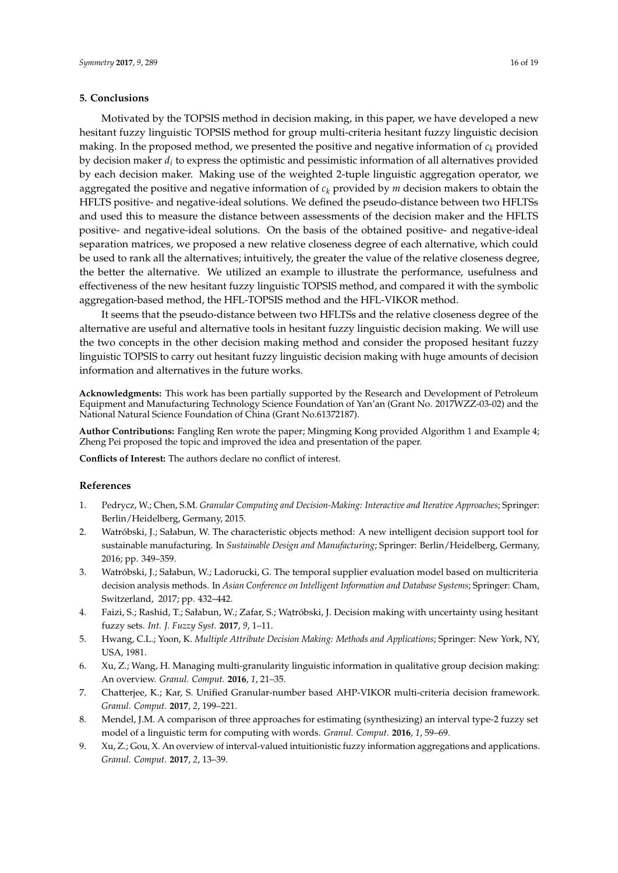#### <span id="page-15-3"></span>**5. Conclusions**

Motivated by the TOPSIS method in decision making, in this paper, we have developed a new hesitant fuzzy linguistic TOPSIS method for group multi-criteria hesitant fuzzy linguistic decision making. In the proposed method, we presented the positive and negative information of  $c_k$  provided by decision maker *d<sup>i</sup>* to express the optimistic and pessimistic information of all alternatives provided by each decision maker. Making use of the weighted 2-tuple linguistic aggregation operator, we aggregated the positive and negative information of *c<sup>k</sup>* provided by *m* decision makers to obtain the HFLTS positive- and negative-ideal solutions. We defined the pseudo-distance between two HFLTSs and used this to measure the distance between assessments of the decision maker and the HFLTS positive- and negative-ideal solutions. On the basis of the obtained positive- and negative-ideal separation matrices, we proposed a new relative closeness degree of each alternative, which could be used to rank all the alternatives; intuitively, the greater the value of the relative closeness degree, the better the alternative. We utilized an example to illustrate the performance, usefulness and effectiveness of the new hesitant fuzzy linguistic TOPSIS method, and compared it with the symbolic aggregation-based method, the HFL-TOPSIS method and the HFL-VIKOR method.

It seems that the pseudo-distance between two HFLTSs and the relative closeness degree of the alternative are useful and alternative tools in hesitant fuzzy linguistic decision making. We will use the two concepts in the other decision making method and consider the proposed hesitant fuzzy linguistic TOPSIS to carry out hesitant fuzzy linguistic decision making with huge amounts of decision information and alternatives in the future works.

**Acknowledgments:** This work has been partially supported by the Research and Development of Petroleum Equipment and Manufacturing Technology Science Foundation of Yan'an (Grant No. 2017WZZ-03-02) and the National Natural Science Foundation of China (Grant No.61372187).

**Author Contributions:** Fangling Ren wrote the paper; Mingming Kong provided Algorithm 1 and Example 4; Zheng Pei proposed the topic and improved the idea and presentation of the paper.

**Conflicts of Interest:** The authors declare no conflict of interest.

#### **References**

- <span id="page-15-0"></span>1. Pedrycz, W.; Chen, S.M. *Granular Computing and Decision-Making: Interactive and Iterative Approaches*; Springer: Berlin/Heidelberg, Germany, 2015.
- 2. Watróbski, J.; Sałabun, W. The characteristic objects method: A new intelligent decision support tool for sustainable manufacturing. In *Sustainable Design and Manufacturing*; Springer: Berlin/Heidelberg, Germany, 2016; pp. 349–359.
- 3. Watróbski, J.; Sałabun, W.; Ladorucki, G. The temporal supplier evaluation model based on multicriteria decision analysis methods. In *Asian Conference on Intelligent Information and Database Systems*; Springer: Cham, Switzerland, 2017; pp. 432–442.
- 4. Faizi, S.; Rashid, T.; Sałabun, W.; Zafar, S.; Wątróbski, J. Decision making with uncertainty using hesitant fuzzy sets. *Int. J. Fuzzy Syst.* **2017**, *9*, 1–11.
- <span id="page-15-1"></span>5. Hwang, C.L.; Yoon, K. *Multiple Attribute Decision Making: Methods and Applications*; Springer: New York, NY, USA, 1981.
- <span id="page-15-2"></span>6. Xu, Z.; Wang, H. Managing multi-granularity linguistic information in qualitative group decision making: An overview. *Granul. Comput.* **2016**, *1*, 21–35.
- 7. Chatterjee, K.; Kar, S. Unified Granular-number based AHP-VIKOR multi-criteria decision framework. *Granul. Comput.* **2017**, *2*, 199–221.
- 8. Mendel, J.M. A comparison of three approaches for estimating (synthesizing) an interval type-2 fuzzy set model of a linguistic term for computing with words. *Granul. Comput.* **2016**, *1*, 59–69.
- 9. Xu, Z.; Gou, X. An overview of interval-valued intuitionistic fuzzy information aggregations and applications. *Granul. Comput.* **2017**, *2*, 13–39.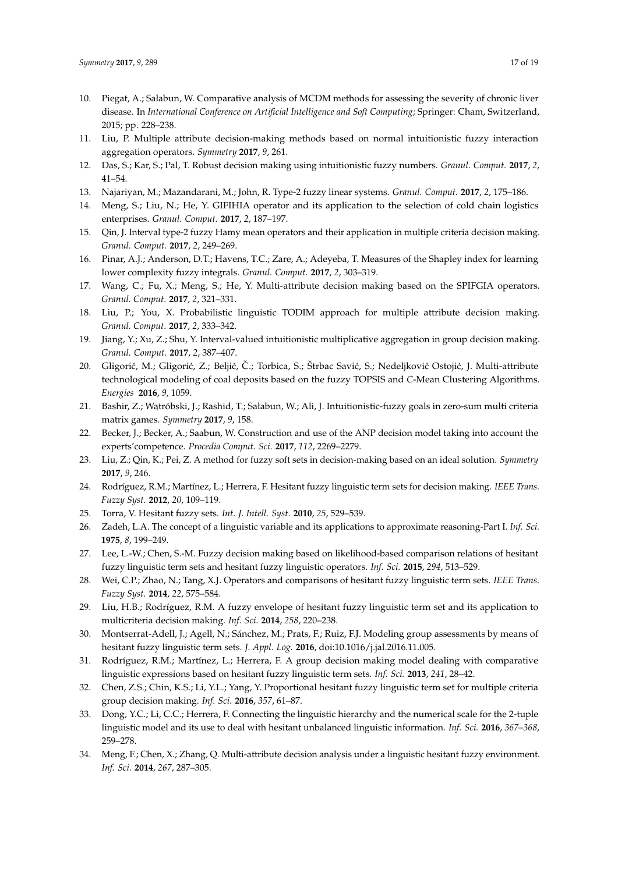- <span id="page-16-0"></span>10. Piegat, A.; Sałabun, W. Comparative analysis of MCDM methods for assessing the severity of chronic liver disease. In *International Conference on Artificial Intelligence and Soft Computing*; Springer: Cham, Switzerland, 2015; pp. 228–238.
- <span id="page-16-1"></span>11. Liu, P. Multiple attribute decision-making methods based on normal intuitionistic fuzzy interaction aggregation operators. *Symmetry* **2017**, *9*, 261.
- 12. Das, S.; Kar, S.; Pal, T. Robust decision making using intuitionistic fuzzy numbers. *Granul. Comput.* **2017**, *2*, 41–54.
- 13. Najariyan, M.; Mazandarani, M.; John, R. Type-2 fuzzy linear systems. *Granul. Comput.* **2017**, *2*, 175–186.
- 14. Meng, S.; Liu, N.; He, Y. GIFIHIA operator and its application to the selection of cold chain logistics enterprises. *Granul. Comput.* **2017**, *2*, 187–197.
- 15. Qin, J. Interval type-2 fuzzy Hamy mean operators and their application in multiple criteria decision making. *Granul. Comput.* **2017**, *2*, 249–269.
- 16. Pinar, A.J.; Anderson, D.T.; Havens, T.C.; Zare, A.; Adeyeba, T. Measures of the Shapley index for learning lower complexity fuzzy integrals. *Granul. Comput.* **2017**, *2*, 303–319.
- 17. Wang, C.; Fu, X.; Meng, S.; He, Y. Multi-attribute decision making based on the SPIFGIA operators. *Granul. Comput.* **2017**, *2*, 321–331.
- 18. Liu, P.; You, X. Probabilistic linguistic TODIM approach for multiple attribute decision making. *Granul. Comput.* **2017**, *2*, 333–342.
- 19. Jiang, Y.; Xu, Z.; Shu, Y. Interval-valued intuitionistic multiplicative aggregation in group decision making. *Granul. Comput.* **2017**, *2*, 387–407.
- 20. Gligorić, M.; Gligorić, Z.; Beljić, Č.; Torbica, S.; Štrbac Savić, S.; Nedeljković Ostojić, J. Multi-attribute technological modeling of coal deposits based on the fuzzy TOPSIS and *C*-Mean Clustering Algorithms. *Energies* **2016**, *9*, 1059.
- 21. Bashir, Z.; Wątróbski, J.; Rashid, T.; Sałabun, W.; Ali, J. Intuitionistic-fuzzy goals in zero-sum multi criteria matrix games. *Symmetry* **2017**, *9*, 158.
- 22. Becker, J.; Becker, A.; Saabun, W. Construction and use of the ANP decision model taking into account the experts'competence. *Procedia Comput. Sci.* **2017**, *112*, 2269–2279.
- <span id="page-16-2"></span>23. Liu, Z.; Qin, K.; Pei, Z. A method for fuzzy soft sets in decision-making based on an ideal solution. *Symmetry* **2017**, *9*, 246.
- <span id="page-16-3"></span>24. Rodríguez, R.M.; Martínez, L.; Herrera, F. Hesitant fuzzy linguistic term sets for decision making. *IEEE Trans. Fuzzy Syst.* **2012**, *20*, 109–119.
- <span id="page-16-4"></span>25. Torra, V. Hesitant fuzzy sets. *Int. J. Intell. Syst.* **2010**, *25*, 529–539.
- <span id="page-16-5"></span>26. Zadeh, L.A. The concept of a linguistic variable and its applications to approximate reasoning-Part I. *Inf. Sci.* **1975**, *8*, 199–249.
- <span id="page-16-6"></span>27. Lee, L.-W.; Chen, S.-M. Fuzzy decision making based on likelihood-based comparison relations of hesitant fuzzy linguistic term sets and hesitant fuzzy linguistic operators. *Inf. Sci.* **2015**, *294*, 513–529.
- <span id="page-16-7"></span>28. Wei, C.P.; Zhao, N.; Tang, X.J. Operators and comparisons of hesitant fuzzy linguistic term sets. *IEEE Trans. Fuzzy Syst.* **2014**, *22*, 575–584.
- <span id="page-16-8"></span>29. Liu, H.B.; Rodríguez, R.M. A fuzzy envelope of hesitant fuzzy linguistic term set and its application to multicriteria decision making. *Inf. Sci.* **2014**, *258*, 220–238.
- <span id="page-16-9"></span>30. Montserrat-Adell, J.; Agell, N.; Sánchez, M.; Prats, F.; Ruiz, F.J. Modeling group assessments by means of hesitant fuzzy linguistic term sets. *J. Appl. Log.* **2016**, doi:10.1016/j.jal.2016.11.005.
- <span id="page-16-10"></span>31. Rodríguez, R.M.; Martínez, L.; Herrera, F. A group decision making model dealing with comparative linguistic expressions based on hesitant fuzzy linguistic term sets. *Inf. Sci.* **2013**, *241*, 28–42.
- <span id="page-16-11"></span>32. Chen, Z.S.; Chin, K.S.; Li, Y.L.; Yang, Y. Proportional hesitant fuzzy linguistic term set for multiple criteria group decision making. *Inf. Sci.* **2016**, *357*, 61–87.
- 33. Dong, Y.C.; Li, C.C.; Herrera, F. Connecting the linguistic hierarchy and the numerical scale for the 2-tuple linguistic model and its use to deal with hesitant unbalanced linguistic information. *Inf. Sci.* **2016**, *367–368*, 259–278.
- 34. Meng, F.; Chen, X.; Zhang, Q. Multi-attribute decision analysis under a linguistic hesitant fuzzy environment. *Inf. Sci.* **2014**, *267*, 287–305.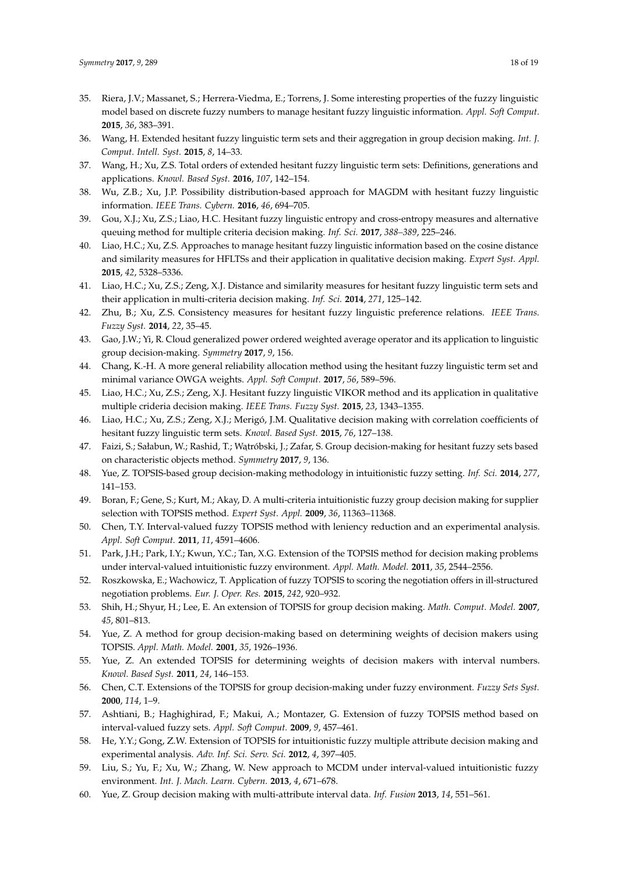- 35. Riera, J.V.; Massanet, S.; Herrera-Viedma, E.; Torrens, J. Some interesting properties of the fuzzy linguistic model based on discrete fuzzy numbers to manage hesitant fuzzy linguistic information. *Appl. Soft Comput.* **2015**, *36*, 383–391.
- 36. Wang, H. Extended hesitant fuzzy linguistic term sets and their aggregation in group decision making. *Int. J. Comput. Intell. Syst.* **2015**, *8*, 14–33.
- 37. Wang, H.; Xu, Z.S. Total orders of extended hesitant fuzzy linguistic term sets: Definitions, generations and applications. *Knowl. Based Syst.* **2016**, *107*, 142–154.
- <span id="page-17-0"></span>38. Wu, Z.B.; Xu, J.P. Possibility distribution-based approach for MAGDM with hesitant fuzzy linguistic information. *IEEE Trans. Cybern.* **2016**, *46*, 694–705.
- <span id="page-17-1"></span>39. Gou, X.J.; Xu, Z.S.; Liao, H.C. Hesitant fuzzy linguistic entropy and cross-entropy measures and alternative queuing method for multiple criteria decision making. *Inf. Sci.* **2017**, *388–389*, 225–246.
- 40. Liao, H.C.; Xu, Z.S. Approaches to manage hesitant fuzzy linguistic information based on the cosine distance and similarity measures for HFLTSs and their application in qualitative decision making. *Expert Syst. Appl.* **2015**, *42*, 5328–5336.
- 41. Liao, H.C.; Xu, Z.S.; Zeng, X.J. Distance and similarity measures for hesitant fuzzy linguistic term sets and their application in multi-criteria decision making. *Inf. Sci.* **2014**, *271*, 125–142.
- 42. Zhu, B.; Xu, Z.S. Consistency measures for hesitant fuzzy linguistic preference relations. *IEEE Trans. Fuzzy Syst.* **2014**, *22*, 35–45.
- <span id="page-17-2"></span>43. Gao, J.W.; Yi, R. Cloud generalized power ordered weighted average operator and its application to linguistic group decision-making. *Symmetry* **2017**, *9*, 156.
- <span id="page-17-3"></span>44. Chang, K.-H. A more general reliability allocation method using the hesitant fuzzy linguistic term set and minimal variance OWGA weights. *Appl. Soft Comput.* **2017**, *56*, 589–596.
- <span id="page-17-13"></span>45. Liao, H.C.; Xu, Z.S.; Zeng, X.J. Hesitant fuzzy linguistic VIKOR method and its application in qualitative multiple crideria decision making. *IEEE Trans. Fuzzy Syst.* **2015**, *23*, 1343–1355.
- 46. Liao, H.C.; Xu, Z.S.; Zeng, X.J.; Merigó, J.M. Qualitative decision making with correlation coefficients of hesitant fuzzy linguistic term sets. *Knowl. Based Syst.* **2015**, *76*, 127–138.
- <span id="page-17-4"></span>47. Faizi, S.; Sałabun, W.; Rashid, T.; Wątróbski, J.; Zafar, S. Group decision-making for hesitant fuzzy sets based on characteristic objects method. *Symmetry* **2017**, *9*, 136.
- <span id="page-17-5"></span>48. Yue, Z. TOPSIS-based group decision-making methodology in intuitionistic fuzzy setting. *Inf. Sci.* **2014**, *277*, 141–153.
- <span id="page-17-6"></span>49. Boran, F.; Gene, S.; Kurt, M.; Akay, D. A multi-criteria intuitionistic fuzzy group decision making for supplier selection with TOPSIS method. *Expert Syst. Appl.* **2009**, *36*, 11363–11368.
- 50. Chen, T.Y. Interval-valued fuzzy TOPSIS method with leniency reduction and an experimental analysis. *Appl. Soft Comput.* **2011**, *11*, 4591–4606.
- 51. Park, J.H.; Park, I.Y.; Kwun, Y.C.; Tan, X.G. Extension of the TOPSIS method for decision making problems under interval-valued intuitionistic fuzzy environment. *Appl. Math. Model.* **2011**, *35*, 2544–2556.
- 52. Roszkowska, E.; Wachowicz, T. Application of fuzzy TOPSIS to scoring the negotiation offers in ill-structured negotiation problems. *Eur. J. Oper. Res.* **2015**, *242*, 920–932.
- 53. Shih, H.; Shyur, H.; Lee, E. An extension of TOPSIS for group decision making. *Math. Comput. Model.* **2007**, *45*, 801–813.
- 54. Yue, Z. A method for group decision-making based on determining weights of decision makers using TOPSIS. *Appl. Math. Model.* **2001**, *35*, 1926–1936.
- <span id="page-17-7"></span>55. Yue, Z. An extended TOPSIS for determining weights of decision makers with interval numbers. *Knowl. Based Syst.* **2011**, *24*, 146–153.
- <span id="page-17-8"></span>56. Chen, C.T. Extensions of the TOPSIS for group decision-making under fuzzy environment. *Fuzzy Sets Syst.* **2000**, *114*, 1–9.
- <span id="page-17-9"></span>57. Ashtiani, B.; Haghighirad, F.; Makui, A.; Montazer, G. Extension of fuzzy TOPSIS method based on interval-valued fuzzy sets. *Appl. Soft Comput.* **2009**, *9*, 457–461.
- <span id="page-17-10"></span>58. He, Y.Y.; Gong, Z.W. Extension of TOPSIS for intuitionistic fuzzy multiple attribute decision making and experimental analysis. *Adv. Inf. Sci. Serv. Sci.* **2012**, *4*, 397–405.
- <span id="page-17-11"></span>59. Liu, S.; Yu, F.; Xu, W.; Zhang, W. New approach to MCDM under interval-valued intuitionistic fuzzy environment. *Int. J. Mach. Learn. Cybern.* **2013**, *4*, 671–678.
- <span id="page-17-12"></span>60. Yue, Z. Group decision making with multi-attribute interval data. *Inf. Fusion* **2013**, *14*, 551–561.